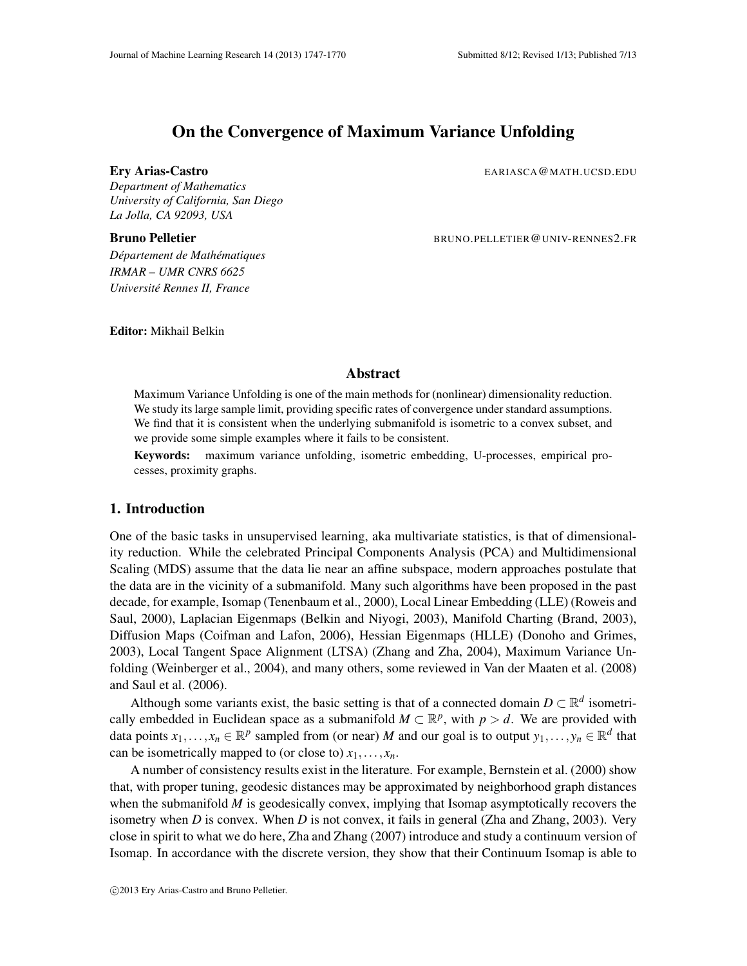# On the Convergence of Maximum Variance Unfolding

#### Ery Arias-Castro **EXALLER EXAMPLE 2008** EARIASCA @MATH.UCSD.EDU

*Department of Mathematics University of California, San Diego La Jolla, CA 92093, USA*

Bruno Pelletier **BRUNO.PELLETIER@UNIV-RENNES2.FR** 

 $D$ *épartement de Mathématiques IRMAR – UMR CNRS 6625 Universite Rennes II, France ´*

Editor: Mikhail Belkin

# Abstract

Maximum Variance Unfolding is one of the main methods for (nonlinear) dimensionality reduction. We study its large sample limit, providing specific rates of convergence under standard assumptions. We find that it is consistent when the underlying submanifold is isometric to a convex subset, and we provide some simple examples where it fails to be consistent.

Keywords: maximum variance unfolding, isometric embedding, U-processes, empirical processes, proximity graphs.

# 1. Introduction

One of the basic tasks in unsupervised learning, aka multivariate statistics, is that of dimensionality reduction. While the celebrated Principal Components Analysis (PCA) and Multidimensional Scaling (MDS) assume that the data lie near an affine subspace, modern approaches postulate that the data are in the vicinity of a submanifold. Many such algorithms have been proposed in the past decade, for example, Isomap (Tenenbaum et al., 2000), Local Linear Embedding (LLE) (Roweis and Saul, 2000), Laplacian Eigenmaps (Belkin and Niyogi, 2003), Manifold Charting (Brand, 2003), Diffusion Maps (Coifman and Lafon, 2006), Hessian Eigenmaps (HLLE) (Donoho and Grimes, 2003), Local Tangent Space Alignment (LTSA) (Zhang and Zha, 2004), Maximum Variance Unfolding (Weinberger et al., 2004), and many others, some reviewed in Van der Maaten et al. (2008) and Saul et al. (2006).

Although some variants exist, the basic setting is that of a connected domain  $D \subset \mathbb{R}^d$  isometrically embedded in Euclidean space as a submanifold  $M \subset \mathbb{R}^p$ , with  $p > d$ . We are provided with data points  $x_1, \ldots, x_n \in \mathbb{R}^p$  sampled from (or near) *M* and our goal is to output  $y_1, \ldots, y_n \in \mathbb{R}^d$  that can be isometrically mapped to (or close to)  $x_1, \ldots, x_n$ .

A number of consistency results exist in the literature. For example, Bernstein et al. (2000) show that, with proper tuning, geodesic distances may be approximated by neighborhood graph distances when the submanifold *M* is geodesically convex, implying that Isomap asymptotically recovers the isometry when *D* is convex. When *D* is not convex, it fails in general (Zha and Zhang, 2003). Very close in spirit to what we do here, Zha and Zhang (2007) introduce and study a continuum version of Isomap. In accordance with the discrete version, they show that their Continuum Isomap is able to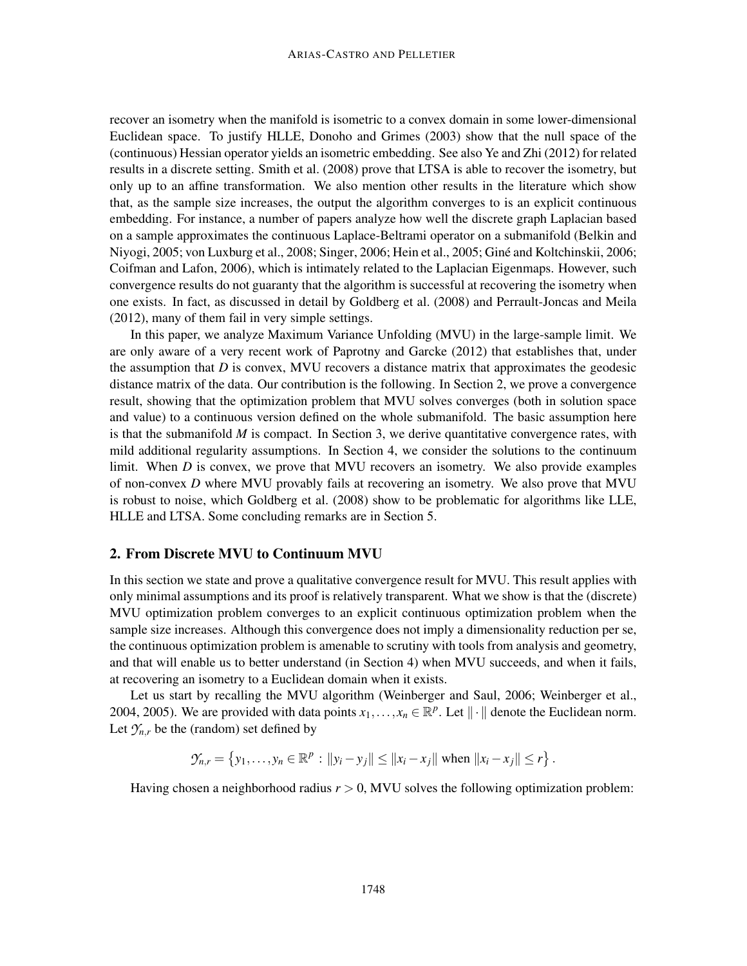recover an isometry when the manifold is isometric to a convex domain in some lower-dimensional Euclidean space. To justify HLLE, Donoho and Grimes (2003) show that the null space of the (continuous) Hessian operator yields an isometric embedding. See also Ye and Zhi (2012) for related results in a discrete setting. Smith et al. (2008) prove that LTSA is able to recover the isometry, but only up to an affine transformation. We also mention other results in the literature which show that, as the sample size increases, the output the algorithm converges to is an explicit continuous embedding. For instance, a number of papers analyze how well the discrete graph Laplacian based on a sample approximates the continuous Laplace-Beltrami operator on a submanifold (Belkin and Niyogi, 2005; von Luxburg et al., 2008; Singer, 2006; Hein et al., 2005; Gine and Koltchinskii, 2006; ´ Coifman and Lafon, 2006), which is intimately related to the Laplacian Eigenmaps. However, such convergence results do not guaranty that the algorithm is successful at recovering the isometry when one exists. In fact, as discussed in detail by Goldberg et al. (2008) and Perrault-Joncas and Meila (2012), many of them fail in very simple settings.

In this paper, we analyze Maximum Variance Unfolding (MVU) in the large-sample limit. We are only aware of a very recent work of Paprotny and Garcke (2012) that establishes that, under the assumption that  $D$  is convex, MVU recovers a distance matrix that approximates the geodesic distance matrix of the data. Our contribution is the following. In Section 2, we prove a convergence result, showing that the optimization problem that MVU solves converges (both in solution space and value) to a continuous version defined on the whole submanifold. The basic assumption here is that the submanifold *M* is compact. In Section 3, we derive quantitative convergence rates, with mild additional regularity assumptions. In Section 4, we consider the solutions to the continuum limit. When *D* is convex, we prove that MVU recovers an isometry. We also provide examples of non-convex *D* where MVU provably fails at recovering an isometry. We also prove that MVU is robust to noise, which Goldberg et al. (2008) show to be problematic for algorithms like LLE, HLLE and LTSA. Some concluding remarks are in Section 5.

# 2. From Discrete MVU to Continuum MVU

In this section we state and prove a qualitative convergence result for MVU. This result applies with only minimal assumptions and its proof is relatively transparent. What we show is that the (discrete) MVU optimization problem converges to an explicit continuous optimization problem when the sample size increases. Although this convergence does not imply a dimensionality reduction per se, the continuous optimization problem is amenable to scrutiny with tools from analysis and geometry, and that will enable us to better understand (in Section 4) when MVU succeeds, and when it fails, at recovering an isometry to a Euclidean domain when it exists.

Let us start by recalling the MVU algorithm (Weinberger and Saul, 2006; Weinberger et al., 2004, 2005). We are provided with data points  $x_1, \ldots, x_n \in \mathbb{R}^p$ . Let  $\|\cdot\|$  denote the Euclidean norm. Let  $\mathcal{Y}_{n,r}$  be the (random) set defined by

$$
\mathcal{Y}_{n,r} = \{y_1, \ldots, y_n \in \mathbb{R}^p : ||y_i - y_j|| \le ||x_i - x_j|| \text{ when } ||x_i - x_j|| \le r\}.
$$

Having chosen a neighborhood radius  $r > 0$ , MVU solves the following optimization problem: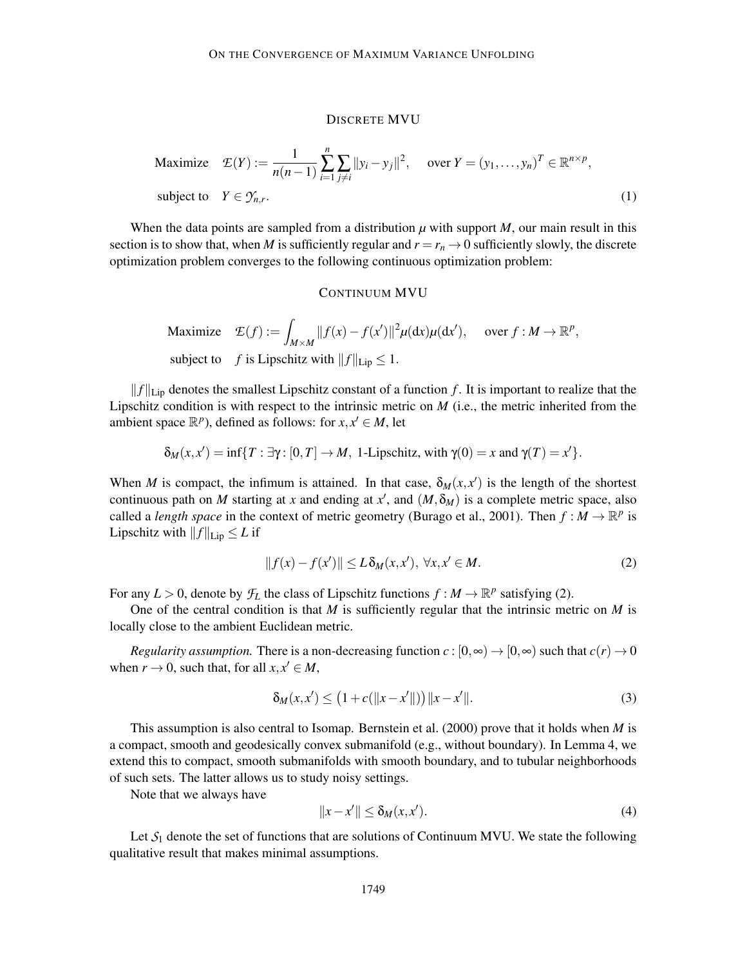#### DISCRETE MVU

Maximize 
$$
\mathcal{E}(Y) := \frac{1}{n(n-1)} \sum_{i=1}^{n} \sum_{j \neq i} ||y_i - y_j||^2
$$
, over  $Y = (y_1, \dots, y_n)^T \in \mathbb{R}^{n \times p}$ ,  
subject to  $Y \in \mathcal{Y}_{n,r}$ . (1)

When the data points are sampled from a distribution  $\mu$  with support  $M$ , our main result in this section is to show that, when *M* is sufficiently regular and  $r = r_n \rightarrow 0$  sufficiently slowly, the discrete optimization problem converges to the following continuous optimization problem:

#### CONTINUUM MVU

Maximize  $\mathcal{L}(f) :=$ *M* × *M*  $||f(x) - f(x')||^2 \mu(\mathrm{d}x)\mu(\mathrm{d}x')$ , over *f* : *M* →  $\mathbb{R}^p$ , subject to *f* is Lipschitz with  $||f||_{\text{Lip}} \leq 1$ .

 $||f||_{\text{Lip}}$  denotes the smallest Lipschitz constant of a function *f*. It is important to realize that the Lipschitz condition is with respect to the intrinsic metric on *M* (i.e., the metric inherited from the ambient space  $\mathbb{R}^p$ ), defined as follows: for  $x, x' \in M$ , let

$$
\delta_M(x,x') = \inf\{T : \exists \gamma : [0,T] \to M, \ 1\text{-Lipschitz, with } \gamma(0) = x \text{ and } \gamma(T) = x'\}.
$$

When *M* is compact, the infimum is attained. In that case,  $\delta_M(x, x')$  is the length of the shortest continuous path on *M* starting at *x* and ending at *x*<sup>'</sup>, and  $(M, \delta_M)$  is a complete metric space, also called a *length space* in the context of metric geometry (Burago et al., 2001). Then  $f : M \to \mathbb{R}^p$  is Lipschitz with  $|| f ||_{\text{Lip}} \leq L$  if

$$
||f(x) - f(x')|| \le L \delta_M(x, x'), \ \forall x, x' \in M.
$$
 (2)

For any  $L > 0$ , denote by  $\mathcal{F}_L$  the class of Lipschitz functions  $f : M \to \mathbb{R}^p$  satisfying (2).

One of the central condition is that *M* is sufficiently regular that the intrinsic metric on *M* is locally close to the ambient Euclidean metric.

*Regularity assumption.* There is a non-decreasing function  $c : [0, \infty) \to [0, \infty)$  such that  $c(r) \to 0$ when  $r \to 0$ , such that, for all  $x, x' \in M$ ,

$$
\delta_M(x, x') \le (1 + c(||x - x'||)) ||x - x'||. \tag{3}
$$

This assumption is also central to Isomap. Bernstein et al. (2000) prove that it holds when *M* is a compact, smooth and geodesically convex submanifold (e.g., without boundary). In Lemma 4, we extend this to compact, smooth submanifolds with smooth boundary, and to tubular neighborhoods of such sets. The latter allows us to study noisy settings.

Note that we always have

$$
||x - x'|| \le \delta_M(x, x'). \tag{4}
$$

Let  $S_1$  denote the set of functions that are solutions of Continuum MVU. We state the following qualitative result that makes minimal assumptions.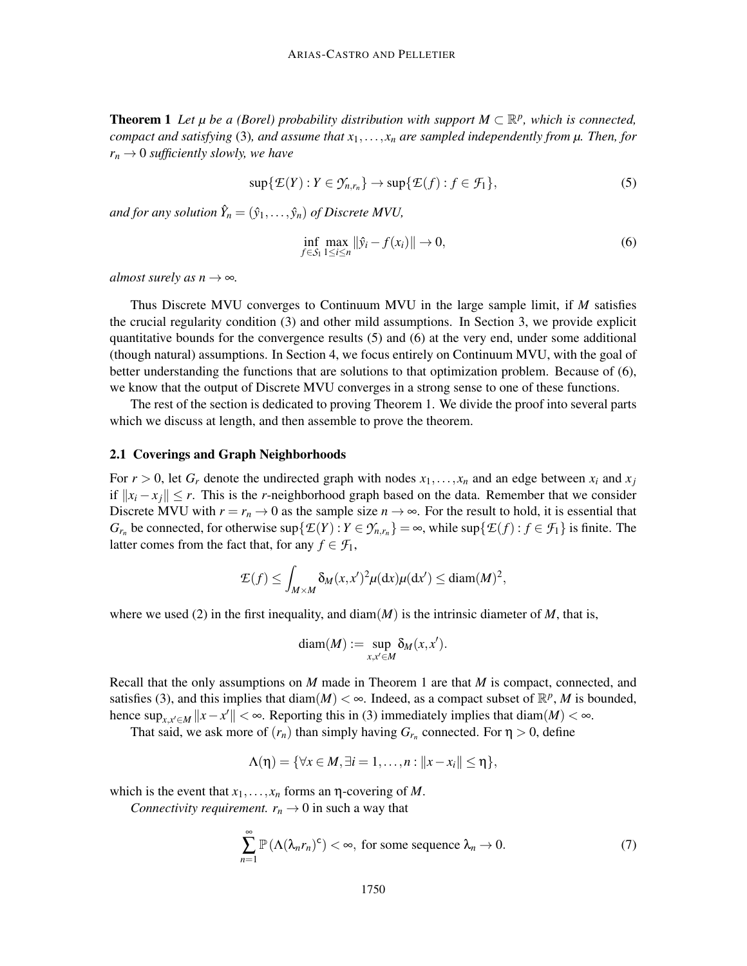**Theorem 1** Let  $\mu$  be a (Borel) probability distribution with support  $M \subset \mathbb{R}^p$ , which is connected, *compact and satisfying* (3)*, and assume that*  $x_1, \ldots, x_n$  *are sampled independently from*  $\mu$ *. Then, for*  $r_n \rightarrow 0$  *sufficiently slowly, we have* 

$$
\sup\{\mathcal{E}(Y):Y\in\mathcal{Y}_{n,r_n}\}\to\sup\{\mathcal{E}(f):f\in\mathcal{F}_1\},\tag{5}
$$

*and for any solution*  $\hat{Y}_n = (\hat{y}_1, \ldots, \hat{y}_n)$  *of Discrete MVU*,

$$
\inf_{f \in S_1} \max_{1 \le i \le n} \|\hat{y}_i - f(x_i)\| \to 0,
$$
\n(6)

*almost surely as n*  $\rightarrow \infty$ *.* 

Thus Discrete MVU converges to Continuum MVU in the large sample limit, if *M* satisfies the crucial regularity condition (3) and other mild assumptions. In Section 3, we provide explicit quantitative bounds for the convergence results (5) and (6) at the very end, under some additional (though natural) assumptions. In Section 4, we focus entirely on Continuum MVU, with the goal of better understanding the functions that are solutions to that optimization problem. Because of (6), we know that the output of Discrete MVU converges in a strong sense to one of these functions.

The rest of the section is dedicated to proving Theorem 1. We divide the proof into several parts which we discuss at length, and then assemble to prove the theorem.

# 2.1 Coverings and Graph Neighborhoods

For  $r > 0$ , let  $G_r$  denote the undirected graph with nodes  $x_1, \ldots, x_n$  and an edge between  $x_i$  and  $x_j$ if  $||x_i - x_j||$  ≤ *r*. This is the *r*-neighborhood graph based on the data. Remember that we consider Discrete MVU with  $r = r_n \to 0$  as the sample size  $n \to \infty$ . For the result to hold, it is essential that *G*<sub>*r<sub>n</sub>*</sub> be connected, for otherwise sup $\{E(Y): Y \in \mathcal{Y}_{n,r_n}\} = \infty$ , while sup $\{E(f): f \in \mathcal{F}_1\}$  is finite. The latter comes from the fact that, for any  $f \in \mathcal{F}_1$ ,

$$
\mathcal{E}(f) \le \int_{M \times M} \delta_M(x, x')^2 \mu(\mathrm{d}x) \mu(\mathrm{d}x') \le \mathrm{diam}(M)^2,
$$

where we used (2) in the first inequality, and  $\text{diam}(M)$  is the intrinsic diameter of *M*, that is,

$$
diam(M) := \sup_{x,x' \in M} \delta_M(x,x').
$$

Recall that the only assumptions on *M* made in Theorem 1 are that *M* is compact, connected, and satisfies (3), and this implies that diam( $M$ ) <  $\infty$ . Indeed, as a compact subset of  $\mathbb{R}^p$ , M is bounded, hence  $\sup_{x,x'\in M}$   $||x-x'|| < \infty$ . Reporting this in (3) immediately implies that diam(*M*) <  $\infty$ .

That said, we ask more of  $(r_n)$  than simply having  $G_{r_n}$  connected. For  $\eta > 0$ , define

$$
\Lambda(\eta)=\{\forall x\in M, \exists i=1,\ldots,n: ||x-x_i||\leq \eta\},\
$$

which is the event that  $x_1, \ldots, x_n$  forms an  $\eta$ -covering of *M*.

*Connectivity requirement.*  $r_n \to 0$  in such a way that

$$
\sum_{n=1}^{\infty} \mathbb{P}\left(\Lambda(\lambda_n r_n)^c\right) < \infty, \text{ for some sequence } \lambda_n \to 0. \tag{7}
$$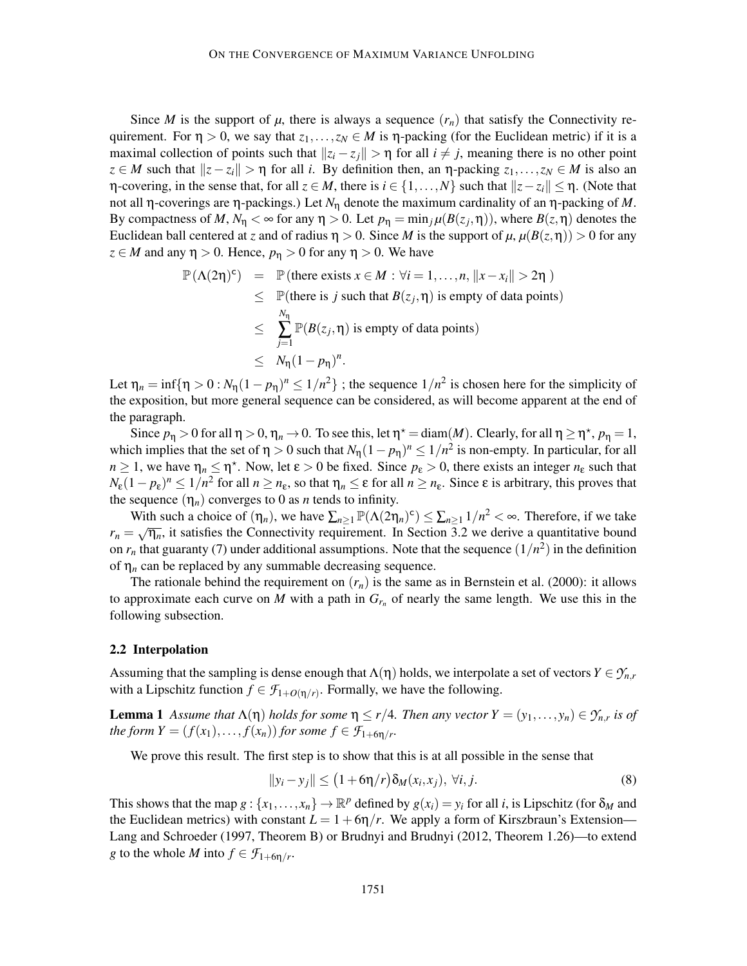Since *M* is the support of  $\mu$ , there is always a sequence  $(r_n)$  that satisfy the Connectivity requirement. For  $\eta > 0$ , we say that  $z_1, \ldots, z_N \in M$  is  $\eta$ -packing (for the Euclidean metric) if it is a maximal collection of points such that  $||z_i - z_j|| > \eta$  for all  $i \neq j$ , meaning there is no other point  $z \in M$  such that  $||z - z_i|| > \eta$  for all *i*. By definition then, an  $\eta$ -packing  $z_1, \ldots, z_N \in M$  is also an η-covering, in the sense that, for all *z* ∈ *M*, there is *i* ∈ {1,...,*N*} such that  $||z - z_i||$  ≤ η. (Note that not all η-coverings are η-packings.) Let *N*<sup>η</sup> denote the maximum cardinality of an η-packing of *M*. By compactness of *M*,  $N_{\eta} < \infty$  for any  $\eta > 0$ . Let  $p_{\eta} = \min_j \mu(B(z_j, \eta))$ , where  $B(z, \eta)$  denotes the Euclidean ball centered at *z* and of radius  $\eta > 0$ . Since *M* is the support of  $\mu$ ,  $\mu(B(z, \eta)) > 0$  for any  $z \in M$  and any  $\eta > 0$ . Hence,  $p_{\eta} > 0$  for any  $\eta > 0$ . We have

$$
\mathbb{P}(\Lambda(2\eta)^c) = \mathbb{P}(\text{there exists } x \in M : \forall i = 1, ..., n, ||x - x_i|| > 2\eta)
$$
  
\n
$$
\leq \mathbb{P}(\text{there is } j \text{ such that } B(z_j, \eta) \text{ is empty of data points})
$$
  
\n
$$
\leq \sum_{j=1}^{N_{\eta}} \mathbb{P}(B(z_j, \eta) \text{ is empty of data points})
$$
  
\n
$$
\leq N_{\eta}(1 - p_{\eta})^n.
$$

Let  $\eta_n = \inf\{\eta > 0 : N_\eta(1 - p_\eta)^n \leq 1/n^2\}$ ; the sequence  $1/n^2$  is chosen here for the simplicity of the exposition, but more general sequence can be considered, as will become apparent at the end of the paragraph.

Since  $p_{\eta} > 0$  for all  $\eta > 0$ ,  $\eta_n \to 0$ . To see this, let  $\eta^* = \text{diam}(M)$ . Clearly, for all  $\eta \geq \eta^*$ ,  $p_{\eta} = 1$ , which implies that the set of  $\eta > 0$  such that  $N_{\eta}(1 - p_{\eta})^n \leq 1/n^2$  is non-empty. In particular, for all  $n \geq 1$ , we have  $\eta_n \leq \eta^*$ . Now, let  $\varepsilon > 0$  be fixed. Since  $p_{\varepsilon} > 0$ , there exists an integer  $n_{\varepsilon}$  such that  $N_{\epsilon}(1-p_{\epsilon})^n$  ≤ 1/*n*<sup>2</sup> for all *n* ≥ *n*<sub>ε</sub>, so that  $η_n$  ≤ ε for all *n* ≥ *n*<sub>ε</sub>. Since ε is arbitrary, this proves that the sequence  $(\eta_n)$  converges to 0 as *n* tends to infinity.

With such a choice of  $(\eta_n)$ , we have  $\sum_{n\geq 1} \mathbb{P}(\Lambda(2\eta_n)^c) \leq \sum_{n\geq 1} 1/n^2 < \infty$ . Therefore, if we take  $r_n = \sqrt{\eta_n}$ , it satisfies the Connectivity requirement. In Section 3.2 we derive a quantitative bound on  $r_n$  that guaranty (7) under additional assumptions. Note that the sequence  $(1/n^2)$  in the definition of  $\eta_n$  can be replaced by any summable decreasing sequence.

The rationale behind the requirement on  $(r_n)$  is the same as in Bernstein et al. (2000): it allows to approximate each curve on *M* with a path in  $G_{r_n}$  of nearly the same length. We use this in the following subsection.

#### 2.2 Interpolation

Assuming that the sampling is dense enough that  $\Lambda(\eta)$  holds, we interpolate a set of vectors  $Y \in \mathcal{Y}_{n,r}$ with a Lipschitz function  $f \in \mathcal{F}_{1+O(\eta/r)}$ . Formally, we have the following.

**Lemma 1** Assume that  $\Lambda(\eta)$  holds for some  $\eta \le r/4$ . Then any vector  $Y = (y_1, \ldots, y_n) \in \mathcal{Y}_{n,r}$  is of *the form*  $Y = (f(x_1),..., f(x_n))$  *for some*  $f \in \mathcal{F}_{1+6n/r}$ .

We prove this result. The first step is to show that this is at all possible in the sense that

$$
||y_i - y_j|| \le (1 + 6\eta/r)\delta_M(x_i, x_j), \forall i, j.
$$
\n(8)

This shows that the map  $g: \{x_1, \ldots, x_n\} \to \mathbb{R}^p$  defined by  $g(x_i) = y_i$  for all *i*, is Lipschitz (for  $\delta_M$  and the Euclidean metrics) with constant  $L = 1 + 6\eta/r$ . We apply a form of Kirszbraun's Extension— Lang and Schroeder (1997, Theorem B) or Brudnyi and Brudnyi (2012, Theorem 1.26)—to extend *g* to the whole *M* into  $f \in \mathcal{F}_{1+6\eta/r}$ .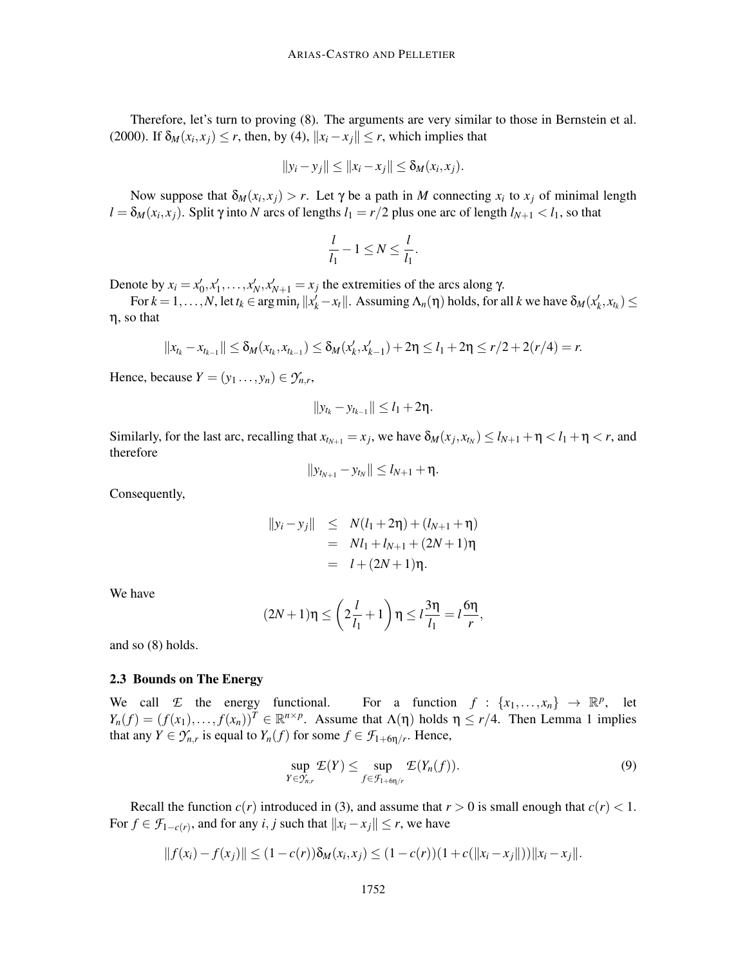Therefore, let's turn to proving (8). The arguments are very similar to those in Bernstein et al. (2000). If  $\delta_M(x_i, x_j) \le r$ , then, by (4),  $||x_i - x_j|| \le r$ , which implies that

$$
||y_i - y_j|| \leq ||x_i - x_j|| \leq \delta_M(x_i, x_j).
$$

Now suppose that  $\delta_M(x_i, x_j) > r$ . Let  $\gamma$  be a path in *M* connecting  $x_i$  to  $x_j$  of minimal length  $l = \delta_M(x_i, x_j)$ . Split  $\gamma$  into *N* arcs of lengths  $l_1 = r/2$  plus one arc of length  $l_{N+1} < l_1$ , so that

$$
\frac{l}{l_1} - 1 \leq N \leq \frac{l}{l_1}.
$$

Denote by  $x_i = x'_0, x'_1, \ldots, x'_N, x'_{N+1} = x_j$  the extremities of the arcs along γ.

For  $k = 1, ..., N$ , let  $t_k \in \arg \min_t ||x'_k - x_t||$ . Assuming  $\Lambda_n(\eta)$  holds, for all  $k$  we have  $\delta_M(x'_k, x_{t_k}) \le$ η, so that

$$
||x_{t_k}-x_{t_{k-1}}||\leq \delta_M(x_{t_k},x_{t_{k-1}})\leq \delta_M(x'_k,x'_{k-1})+2\eta\leq l_1+2\eta\leq r/2+2(r/4)=r.
$$

Hence, because  $Y = (y_1 \dots, y_n) \in \mathcal{Y}_{n,r}$ ,

$$
||y_{t_k}-y_{t_{k-1}}||\leq l_1+2\eta.
$$

Similarly, for the last arc, recalling that  $x_{t_{N+1}} = x_j$ , we have  $\delta_M(x_j, x_{t_N}) \le l_{N+1} + \eta < l_1 + \eta < r$ , and therefore

$$
||y_{t_{N+1}}-y_{t_N}||\leq l_{N+1}+\eta.
$$

Consequently,

$$
||y_i - y_j|| \le N(l_1 + 2\eta) + (l_{N+1} + \eta)
$$
  
= Nl\_1 + l\_{N+1} + (2N + 1)\eta  
= l + (2N + 1)\eta.

We have

$$
(2N+1)\eta \le \left(2\frac{l}{l_1}+1\right)\eta \le l\frac{3\eta}{l_1} = l\frac{6\eta}{r},
$$

and so (8) holds.

#### 2.3 Bounds on The Energy

We call *E* the energy functional. For a function  $f: \{x_1, \ldots, x_n\} \rightarrow \mathbb{R}^p$ , let  $Y_n(f) = (f(x_1),..., f(x_n))^T \in \mathbb{R}^{n \times p}$ . Assume that  $\Lambda(\eta)$  holds  $\eta \le r/4$ . Then Lemma 1 implies that any  $Y \in \mathcal{Y}_{n,r}$  is equal to  $Y_n(f)$  for some  $f \in \mathcal{F}_{1+6\eta/r}$ . Hence,

$$
\sup_{Y \in \mathcal{Y}_{n,r}} \mathcal{L}(Y) \leq \sup_{f \in \mathcal{F}_{1+\delta \eta/r}} \mathcal{L}(Y_n(f)). \tag{9}
$$

Recall the function  $c(r)$  introduced in (3), and assume that  $r > 0$  is small enough that  $c(r) < 1$ . For  $f \in \mathcal{F}_{1-c(r)}$ , and for any *i*, *j* such that  $||x_i - x_j|| \le r$ , we have

$$
||f(x_i)-f(x_j)|| \le (1-c(r))\delta_M(x_i,x_j) \le (1-c(r))(1+c(||x_i-x_j||))||x_i-x_j||.
$$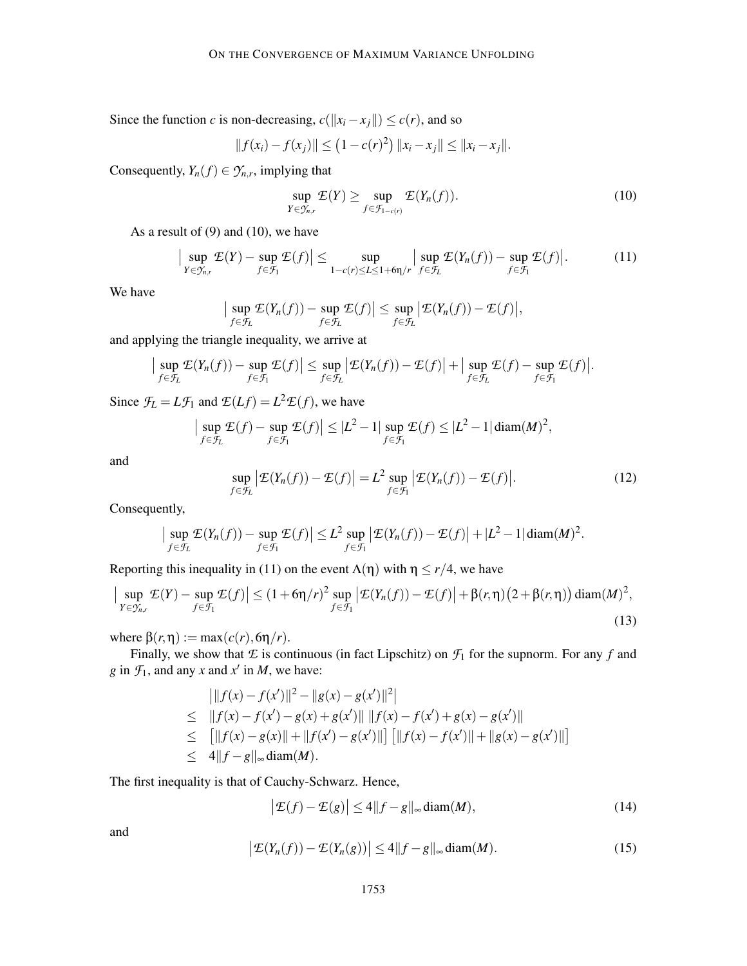Since the function *c* is non-decreasing,  $c(||x_i - x_j||) \le c(r)$ , and so

$$
||f(x_i) - f(x_j)|| \le (1 - c(r)^2) ||x_i - x_j|| \le ||x_i - x_j||.
$$

Consequently,  $Y_n(f) \in \mathcal{Y}_{n,r}$ , implying that

$$
\sup_{Y \in \mathcal{Y}_{n,r}} \mathcal{L}(Y) \ge \sup_{f \in \mathcal{F}_{1-c(r)}} \mathcal{L}(Y_n(f)). \tag{10}
$$

As a result of  $(9)$  and  $(10)$ , we have

$$
\left|\sup_{Y\in\mathcal{Y}_{n,r}}\mathcal{E}(Y)-\sup_{f\in\mathcal{F}_1}\mathcal{E}(f)\right|\leq \sup_{1-c(r)\leq L\leq 1+6\eta/r}\left|\sup_{f\in\mathcal{F}_L}\mathcal{E}(Y_n(f))-\sup_{f\in\mathcal{F}_1}\mathcal{E}(f)\right|.\tag{11}
$$

We have

$$
\Big|\sup_{f\in\mathcal{F}_L}\mathcal{E}(Y_n(f))-\sup_{f\in\mathcal{F}_L}\mathcal{E}(f)\Big|\leq \sup_{f\in\mathcal{F}_L}\big|\mathcal{E}(Y_n(f))-\mathcal{E}(f)\big|,
$$

and applying the triangle inequality, we arrive at

$$
\big|\sup_{f\in\mathcal{F}_L}\mathcal{E}(Y_n(f)) - \sup_{f\in\mathcal{F}_1}\mathcal{E}(f)\big|\leq \sup_{f\in\mathcal{F}_L}\big|\mathcal{E}(Y_n(f)) - \mathcal{E}(f)\big| + \big|\sup_{f\in\mathcal{F}_L}\mathcal{E}(f) - \sup_{f\in\mathcal{F}_1}\mathcal{E}(f)\big|.
$$

Since  $\mathcal{F}_L = L\mathcal{F}_1$  and  $\mathcal{E}(Lf) = L^2 \mathcal{E}(f)$ , we have

$$
\left|\sup_{f\in\mathcal{F}_L}\mathcal{E}(f)-\sup_{f\in\mathcal{F}_1}\mathcal{E}(f)\right|\leq |L^2-1|\sup_{f\in\mathcal{F}_1}\mathcal{E}(f)\leq |L^2-1|\operatorname{diam}(M)^2,
$$

and

$$
\sup_{f \in \mathcal{F}_L} \left| \mathcal{E}(Y_n(f)) - \mathcal{E}(f) \right| = L^2 \sup_{f \in \mathcal{F}_1} \left| \mathcal{E}(Y_n(f)) - \mathcal{E}(f) \right|.
$$
 (12)

Consequently,

$$
\big|\sup_{f\in\mathcal{F}_L}\mathcal{E}(Y_n(f))-\sup_{f\in\mathcal{F}_1}\mathcal{E}(f)\big|\leq L^2\sup_{f\in\mathcal{F}_1}\big|\mathcal{E}(Y_n(f))-\mathcal{E}(f)\big|+|L^2-1|\operatorname{diam}(M)^2.
$$

Reporting this inequality in (11) on the event  $\Lambda(\eta)$  with  $\eta \le r/4$ , we have

$$
\left|\sup_{Y \in \mathcal{Y}_{n,r}} \mathcal{E}(Y) - \sup_{f \in \mathcal{F}_1} \mathcal{E}(f)\right| \le (1 + 6\eta/r)^2 \sup_{f \in \mathcal{F}_1} \left|\mathcal{E}(Y_n(f)) - \mathcal{E}(f)\right| + \beta(r,\eta)\left(2 + \beta(r,\eta)\right) \text{diam}(M)^2,
$$
\n(13)

where  $\beta(r, \eta) := \max(c(r), 6\eta/r)$ .

Finally, we show that  $E$  is continuous (in fact Lipschitz) on  $\mathcal{F}_1$  for the supnorm. For any  $f$  and *g* in  $\mathcal{F}_1$ , and any *x* and *x*<sup> $\prime$ </sup> in *M*, we have:

$$
\begin{aligned}\n||f(x) - f(x')||^2 - ||g(x) - g(x')||^2| \\
&\leq ||f(x) - f(x') - g(x) + g(x')|| ||f(x) - f(x') + g(x) - g(x')|| \\
&\leq [||f(x) - g(x)|| + ||f(x') - g(x')||] [||f(x) - f(x')|| + ||g(x) - g(x')||] \\
&\leq 4||f - g||_{\infty} \operatorname{diam}(M).\n\end{aligned}
$$

The first inequality is that of Cauchy-Schwarz. Hence,

$$
\left|\mathcal{E}(f) - \mathcal{E}(g)\right| \le 4\|f - g\|_{\infty} \operatorname{diam}(M),\tag{14}
$$

and

$$
\left|\mathcal{E}(Y_n(f)) - \mathcal{E}(Y_n(g))\right| \le 4\|f - g\|_{\infty} \operatorname{diam}(M). \tag{15}
$$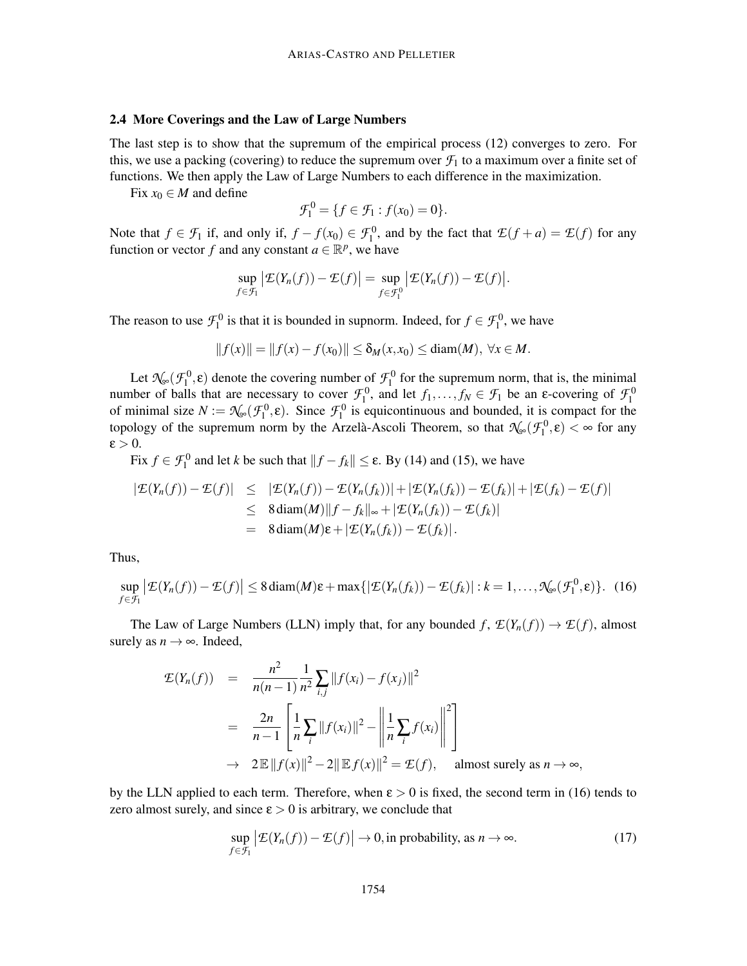#### 2.4 More Coverings and the Law of Large Numbers

The last step is to show that the supremum of the empirical process (12) converges to zero. For this, we use a packing (covering) to reduce the supremum over  $\mathcal{F}_1$  to a maximum over a finite set of functions. We then apply the Law of Large Numbers to each difference in the maximization.

Fix  $x_0 \in M$  and define

$$
\mathcal{F}_1^0 = \{ f \in \mathcal{F}_1 : f(x_0) = 0 \}.
$$

Note that  $f \in \mathcal{F}_1$  if, and only if,  $f - f(x_0) \in \mathcal{F}_1^0$ , and by the fact that  $\mathcal{E}(f + a) = \mathcal{E}(f)$  for any function or vector *f* and any constant  $a \in \mathbb{R}^p$ , we have

$$
\sup_{f \in \mathcal{F}_1} \left| \mathcal{E}(Y_n(f)) - \mathcal{E}(f) \right| = \sup_{f \in \mathcal{F}_1^0} \left| \mathcal{E}(Y_n(f)) - \mathcal{E}(f) \right|.
$$

The reason to use  $\mathcal{F}_1^0$  is that it is bounded in supnorm. Indeed, for  $f \in \mathcal{F}_1^0$ , we have

$$
||f(x)|| = ||f(x) - f(x_0)|| \le \delta_M(x, x_0) \le \text{diam}(M), \ \forall x \in M.
$$

Let  $\mathcal{N}_{\infty}(\mathcal{F}_1^0, \varepsilon)$  denote the covering number of  $\mathcal{F}_1^0$  for the supremum norm, that is, the minimal number of balls that are necessary to cover  $\mathcal{F}_1^0$ , and let  $f_1, ..., f_N \in \mathcal{F}_1$  be an  $\varepsilon$ -covering of  $\mathcal{F}_1^0$  of minimal size  $N := \mathcal{N}_{\infty}(\mathcal{F}_1^0, \varepsilon)$ . Since  $\mathcal{F}_1^0$  is equicontinuous and bounded, it is topology of the supremum norm by the Arzelà-Ascoli Theorem, so that  $\mathcal{N}_{\infty}(\mathcal{F}_1^0,\epsilon)<\infty$  for any  $\epsilon > 0$ .

Fix  $f \in \mathcal{F}_1^0$  and let *k* be such that  $||f - f_k|| \le \varepsilon$ . By (14) and (15), we have

$$
|\mathcal{E}(Y_n(f)) - \mathcal{E}(f)| \leq |\mathcal{E}(Y_n(f)) - \mathcal{E}(Y_n(f_k))| + |\mathcal{E}(Y_n(f_k)) - \mathcal{E}(f_k)| + |\mathcal{E}(f_k) - \mathcal{E}(f)|
$$
  
\n
$$
\leq 8 \operatorname{diam}(M) \|f - f_k\|_{\infty} + |\mathcal{E}(Y_n(f_k)) - \mathcal{E}(f_k)|
$$
  
\n
$$
= 8 \operatorname{diam}(M) \varepsilon + |\mathcal{E}(Y_n(f_k)) - \mathcal{E}(f_k)|.
$$

Thus,

$$
\sup_{f \in \mathcal{F}_1} \left| \mathcal{E}(Y_n(f)) - \mathcal{E}(f) \right| \le 8 \operatorname{diam}(M)\varepsilon + \max\{|\mathcal{E}(Y_n(f_k)) - \mathcal{E}(f_k)| : k = 1, ..., \mathcal{N}_\infty(\mathcal{F}_1^0, \varepsilon)\}.
$$
 (16)

The Law of Large Numbers (LLN) imply that, for any bounded  $f$ ,  $\mathcal{L}(Y_n(f)) \to \mathcal{L}(f)$ , almost surely as  $n \rightarrow \infty$ . Indeed,

$$
\mathcal{E}(Y_n(f)) = \frac{n^2}{n(n-1)} \frac{1}{n^2} \sum_{i,j} ||f(x_i) - f(x_j)||^2
$$
  
= 
$$
\frac{2n}{n-1} \left[ \frac{1}{n} \sum_i ||f(x_i)||^2 - \left\| \frac{1}{n} \sum_i f(x_i) \right\|^2 \right]
$$
  

$$
\to 2 \mathbb{E} ||f(x)||^2 - 2||\mathbb{E}f(x)||^2 = \mathcal{E}(f), \text{ almost surely as } n \to \infty,
$$

by the LLN applied to each term. Therefore, when  $\epsilon > 0$  is fixed, the second term in (16) tends to zero almost surely, and since  $\varepsilon > 0$  is arbitrary, we conclude that

$$
\sup_{f \in \mathcal{F}_1} \left| \mathcal{E}(Y_n(f)) - \mathcal{E}(f) \right| \to 0, \text{ in probability, as } n \to \infty. \tag{17}
$$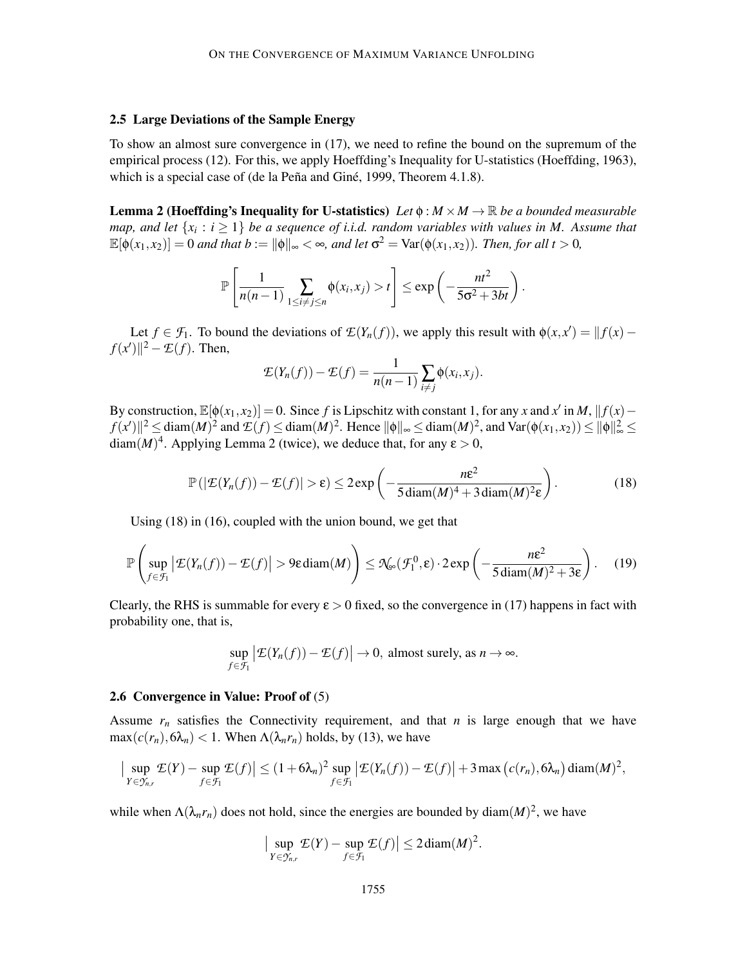## 2.5 Large Deviations of the Sample Energy

To show an almost sure convergence in (17), we need to refine the bound on the supremum of the empirical process (12). For this, we apply Hoeffding's Inequality for U-statistics (Hoeffding, 1963), which is a special case of (de la Peña and Giné, 1999, Theorem 4.1.8).

**Lemma 2 (Hoeffding's Inequality for U-statistics)** Let  $\phi : M \times M \to \mathbb{R}$  be a bounded measurable *map, and let*  $\{x_i : i \geq 1\}$  *be a sequence of i.i.d. random variables with values in M. Assume that*  $\mathbb{E}[\phi(x_1, x_2)] = 0$  *and that*  $b := \|\phi\|_{\infty} < \infty$ *, and let*  $\sigma^2 = \text{Var}(\phi(x_1, x_2))$ *. Then, for all t* > 0*,* 

$$
\mathbb{P}\left[\frac{1}{n(n-1)}\sum_{1\leq i\neq j\leq n}\phi(x_i,x_j)>t\right]\leq \exp\left(-\frac{nt^2}{5\sigma^2+3bt}\right)
$$

Let  $f \in \mathcal{F}_1$ . To bound the deviations of  $\mathcal{L}(Y_n(f))$ , we apply this result with  $\phi(x, x') = ||f(x) - f(x)||$  $f(x')$ <sup>2</sup> –  $\mathcal{E}(f)$ . Then,

$$
\mathcal{L}(Y_n(f)) - \mathcal{L}(f) = \frac{1}{n(n-1)} \sum_{i \neq j} \phi(x_i, x_j).
$$

By construction,  $\mathbb{E}[\phi(x_1, x_2)] = 0$ . Since *f* is Lipschitz with constant 1, for any *x* and *x'* in *M*,  $|| f(x) - f(x)||$  $f(x')\|^2 \leq \text{diam}(M)^2$  and  $\mathcal{L}(f) \leq \text{diam}(M)^2$ . Hence  $\|\phi\|_{\infty} \leq \text{diam}(M)^2$ , and  $\text{Var}(\phi(x_1, x_2)) \leq \|\phi\|_{\infty}^2 \leq$  $\text{diam}(M)^4$ . Applying Lemma 2 (twice), we deduce that, for any  $\varepsilon > 0$ ,

$$
\mathbb{P}(|\mathcal{E}(Y_n(f)) - \mathcal{E}(f)| > \varepsilon) \le 2 \exp\left(-\frac{n\varepsilon^2}{5 \operatorname{diam}(M)^4 + 3 \operatorname{diam}(M)^2 \varepsilon}\right).
$$
 (18)

.

Using (18) in (16), coupled with the union bound, we get that

$$
\mathbb{P}\left(\sup_{f\in\mathcal{F}_1}|\mathcal{E}(Y_n(f))-\mathcal{E}(f)|>\mathfrak{H}\operatorname{diam}(M)\right)\leq \mathfrak{N}_{\infty}(\mathcal{F}_1^0,\varepsilon)\cdot 2\exp\left(-\frac{n\varepsilon^2}{5\operatorname{diam}(M)^2+3\varepsilon}\right). \quad (19)
$$

Clearly, the RHS is summable for every  $\epsilon > 0$  fixed, so the convergence in (17) happens in fact with probability one, that is,

$$
\sup_{f \in \mathcal{F}_1} \left| \mathcal{E}(Y_n(f)) - \mathcal{E}(f) \right| \to 0, \text{ almost surely, as } n \to \infty.
$$

#### 2.6 Convergence in Value: Proof of (5)

Assume  $r_n$  satisfies the Connectivity requirement, and that  $n$  is large enough that we have  $\max(c(r_n), 6\lambda_n) < 1$ . When  $\Lambda(\lambda_n r_n)$  holds, by (13), we have

$$
\left|\sup_{Y\in\mathcal{Y}_{n,r}}\mathcal{E}(Y)-\sup_{f\in\mathcal{F}_1}\mathcal{E}(f)\right|\leq (1+6\lambda_n)^2\sup_{f\in\mathcal{F}_1}\left|\mathcal{E}(Y_n(f))-\mathcal{E}(f)\right|+3\max\left(c(r_n),6\lambda_n\right)\text{diam}(M)^2,
$$

while when  $\Lambda(\lambda_n r_n)$  does not hold, since the energies are bounded by diam $(M)^2$ , we have

$$
\Big|\sup_{Y\in\mathcal{Y}_{n,r}}\mathcal{E}(Y)-\sup_{f\in\mathcal{F}_1}\mathcal{E}(f)\Big|\leq 2\operatorname{diam}(M)^2.
$$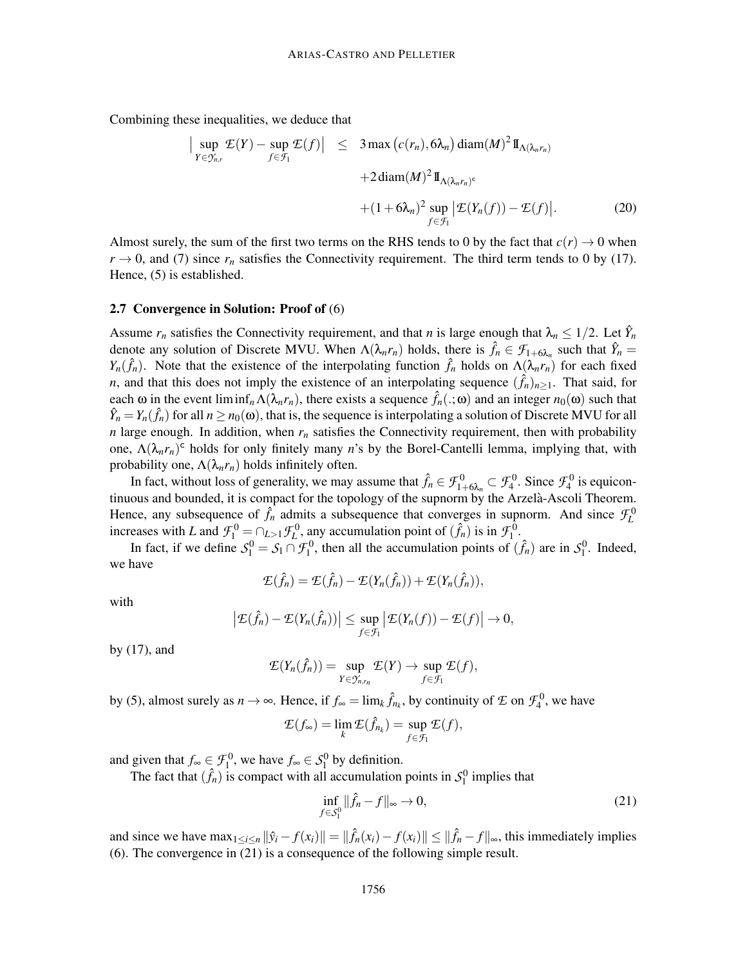Combining these inequalities, we deduce that

$$
\begin{aligned}\n\left| \sup_{Y \in \mathcal{Y}_{n,r}} \mathcal{E}(Y) - \sup_{f \in \mathcal{F}_1} \mathcal{E}(f) \right| &\leq 3 \max \left( c(r_n), 6\lambda_n \right) \operatorname{diam}(M)^2 \mathbb{I}_{\Lambda(\lambda_n r_n)} \\
&\quad + 2 \operatorname{diam}(M)^2 \mathbb{I}_{\Lambda(\lambda_n r_n)^c} \\
&\quad + (1 + 6\lambda_n)^2 \sup_{f \in \mathcal{F}_1} \left| \mathcal{E}(Y_n(f)) - \mathcal{E}(f) \right|. \tag{20}\n\end{aligned}
$$

Almost surely, the sum of the first two terms on the RHS tends to 0 by the fact that  $c(r) \rightarrow 0$  when  $r \rightarrow 0$ , and (7) since  $r_n$  satisfies the Connectivity requirement. The third term tends to 0 by (17). Hence, (5) is established.

## 2.7 Convergence in Solution: Proof of (6)

Assume  $r_n$  satisfies the Connectivity requirement, and that *n* is large enough that  $\lambda_n \leq 1/2$ . Let  $\hat{Y}_n$ denote any solution of Discrete MVU. When  $\Lambda(\lambda_n r_n)$  holds, there is  $\hat{f}_n \in \mathcal{F}_{1+\hat{\lambda}_n}$  such that  $\hat{Y}_n = \hat{f}_n r_n$ *Y<sub>n</sub>*( $\hat{f}_n$ ). Note that the existence of the interpolating function  $\hat{f}_n$  holds on  $\Lambda(\lambda_n r_n)$  for each fixed *n*, and that this does not imply the existence of an interpolating sequence  $(\hat{f}_n)_{n\geq 1}$ . That said, for each  $\omega$  in the event liminf<sub>*n*</sub> $\Lambda(\lambda_n r_n)$ , there exists a sequence  $\hat{f}_n(.;\omega)$  and an integer  $n_0(\omega)$  such that  $\hat{Y}_n = Y_n(\hat{f}_n)$  for all  $n \ge n_0(\omega)$ , that is, the sequence is interpolating a solution of Discrete MVU for all *n* large enough. In addition, when  $r_n$  satisfies the Connectivity requirement, then with probability one,  $\Lambda(\lambda_n r_n)$ <sup>c</sup> holds for only finitely many *n*'s by the Borel-Cantelli lemma, implying that, with probability one,  $\Lambda(\lambda_n r_n)$  holds infinitely often.

In fact, without loss of generality, we may assume that  $\hat{f}_n \in \mathcal{F}_{1+6\lambda_n}^0 \subset \mathcal{F}_{4}^0$ . Since  $\mathcal{F}_{4}^0$  is equicontinuous and bounded, it is compact for the topology of the supnorm by the Arzelà-Ascoli Theorem. Hence, any subsequence of  $\hat{f}_n$  admits a subsequence that converges in supnorm. And since  $\mathcal{F}_L^0$ increases with *L* and  $\mathcal{F}_1^0 = \bigcap_{L>1} \mathcal{F}_L^0$ , any accumulation point of  $(\hat{f}_n)$  is in  $\mathcal{F}_1^0$ .

In fact, if we define  $S_1^0 = S_1 \cap \mathcal{F}_1^0$ , then all the accumulation points of  $(\hat{f}_n)$  are in  $S_1^0$ . Indeed, we have

$$
\mathcal{E}(\hat{f}_n) = \mathcal{E}(\hat{f}_n) - \mathcal{E}(Y_n(\hat{f}_n)) + \mathcal{E}(Y_n(\hat{f}_n)),
$$

with

$$
\left|\mathcal{E}(\hat{f}_n)-\mathcal{E}(Y_n(\hat{f}_n))\right|\leq \sup_{f\in\mathcal{F}_1}\left|\mathcal{E}(Y_n(f))- \mathcal{E}(f)\right|\to 0,
$$

by (17), and

$$
\mathcal{L}(Y_n(\hat{f}_n)) = \sup_{Y \in \mathcal{Y}_{n,r_n}} \mathcal{L}(Y) \to \sup_{f \in \mathcal{F}_1} \mathcal{L}(f),
$$

by (5), almost surely as  $n \to \infty$ . Hence, if  $f_{\infty} = \lim_{k} \hat{f}_{n_k}$ , by continuity of  $\mathcal{I}$  on  $\mathcal{F}_4^0$ , we have

$$
\mathcal{E}(f_{\infty}) = \lim_{k} \mathcal{E}(\hat{f}_{n_k}) = \sup_{f \in \mathcal{F}_1} \mathcal{E}(f),
$$

and given that  $f_{\infty} \in \mathcal{F}_1^0$ , we have  $f_{\infty} \in \mathcal{S}_1^0$  by definition.

The fact that  $(\hat{f}_n)$  is compact with all accumulation points in  $S_1^0$  implies that

$$
\inf_{f \in S_1^0} \|\hat{f}_n - f\|_{\infty} \to 0,
$$
\n(21)

and since we have  $\max_{1 \le i \le n} ||\hat{y}_i - f(x_i)|| = ||\hat{f}_n(x_i) - f(x_i)|| \le ||\hat{f}_n - f||_{\infty}$ , this immediately implies (6). The convergence in (21) is a consequence of the following simple result.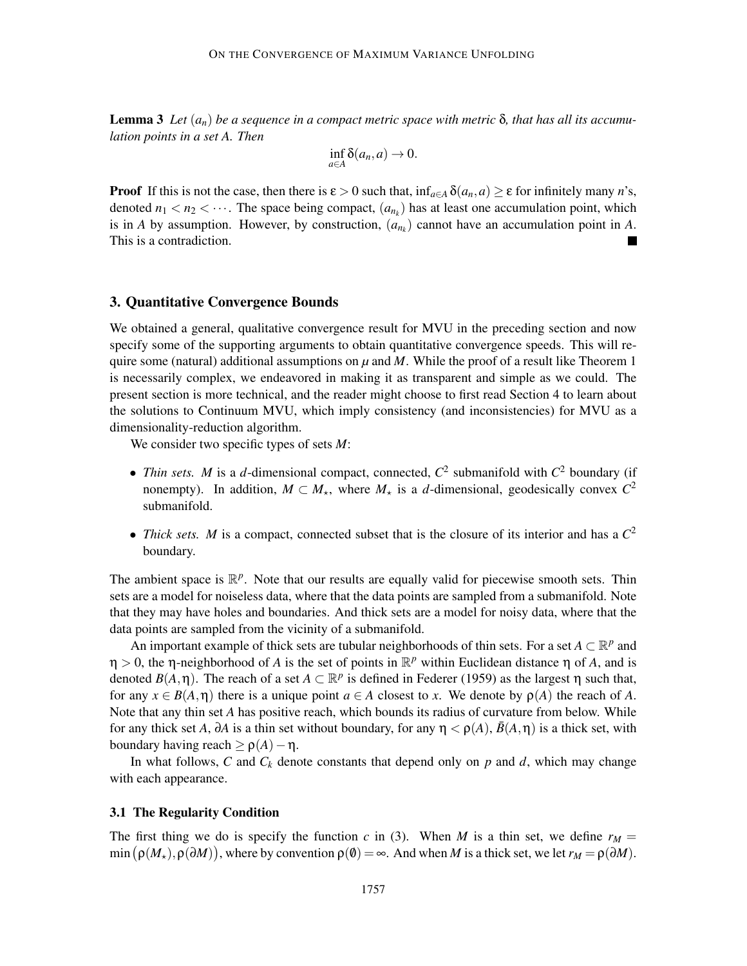**Lemma 3** Let  $(a_n)$  be a sequence in a compact metric space with metric  $\delta$ , that has all its accumu*lation points in a set A. Then*

$$
\inf_{a\in A}\delta(a_n,a)\to 0.
$$

**Proof** If this is not the case, then there is  $\epsilon > 0$  such that,  $\inf_{a \in A} \delta(a_n, a) \geq \epsilon$  for infinitely many *n*'s, denoted  $n_1 < n_2 < \cdots$ . The space being compact,  $(a_{n_k})$  has at least one accumulation point, which is in *A* by assumption. However, by construction,  $(a_{n_k})$  cannot have an accumulation point in *A*. This is a contradiction.

## 3. Quantitative Convergence Bounds

We obtained a general, qualitative convergence result for MVU in the preceding section and now specify some of the supporting arguments to obtain quantitative convergence speeds. This will require some (natural) additional assumptions on  $\mu$  and  $M$ . While the proof of a result like Theorem 1 is necessarily complex, we endeavored in making it as transparent and simple as we could. The present section is more technical, and the reader might choose to first read Section 4 to learn about the solutions to Continuum MVU, which imply consistency (and inconsistencies) for MVU as a dimensionality-reduction algorithm.

We consider two specific types of sets *M*:

- *Thin sets. M* is a *d*-dimensional compact, connected,  $C^2$  submanifold with  $C^2$  boundary (if nonempty). In addition,  $M \subset M_{\star}$ , where  $M_{\star}$  is a *d*-dimensional, geodesically convex  $C^2$ submanifold.
- *Thick sets. M* is a compact, connected subset that is the closure of its interior and has a  $C^2$ boundary.

The ambient space is  $\mathbb{R}^p$ . Note that our results are equally valid for piecewise smooth sets. Thin sets are a model for noiseless data, where that the data points are sampled from a submanifold. Note that they may have holes and boundaries. And thick sets are a model for noisy data, where that the data points are sampled from the vicinity of a submanifold.

An important example of thick sets are tubular neighborhoods of thin sets. For a set  $A \subset \mathbb{R}^p$  and  $\eta > 0$ , the  $\eta$ -neighborhood of *A* is the set of points in  $\mathbb{R}^p$  within Euclidean distance  $\eta$  of *A*, and is denoted  $B(A, \eta)$ . The reach of a set  $A \subset \mathbb{R}^p$  is defined in Federer (1959) as the largest  $\eta$  such that, for any  $x \in B(A, \eta)$  there is a unique point  $a \in A$  closest to x. We denote by  $\rho(A)$  the reach of A. Note that any thin set *A* has positive reach, which bounds its radius of curvature from below. While for any thick set *A*, ∂*A* is a thin set without boundary, for any  $\eta < \rho(A)$ ,  $\bar{B}(A,\eta)$  is a thick set, with boundary having reach ≥ ρ(*A*)−η.

In what follows,  $C$  and  $C_k$  denote constants that depend only on  $p$  and  $d$ , which may change with each appearance.

# 3.1 The Regularity Condition

The first thing we do is specify the function *c* in (3). When *M* is a thin set, we define  $r_M =$  $\min(\rho(M_*,\rho(M_*),\rho(M_*)),$  where by convention  $\rho(\emptyset) = \infty$ . And when *M* is a thick set, we let  $r_M = \rho(\partial M)$ .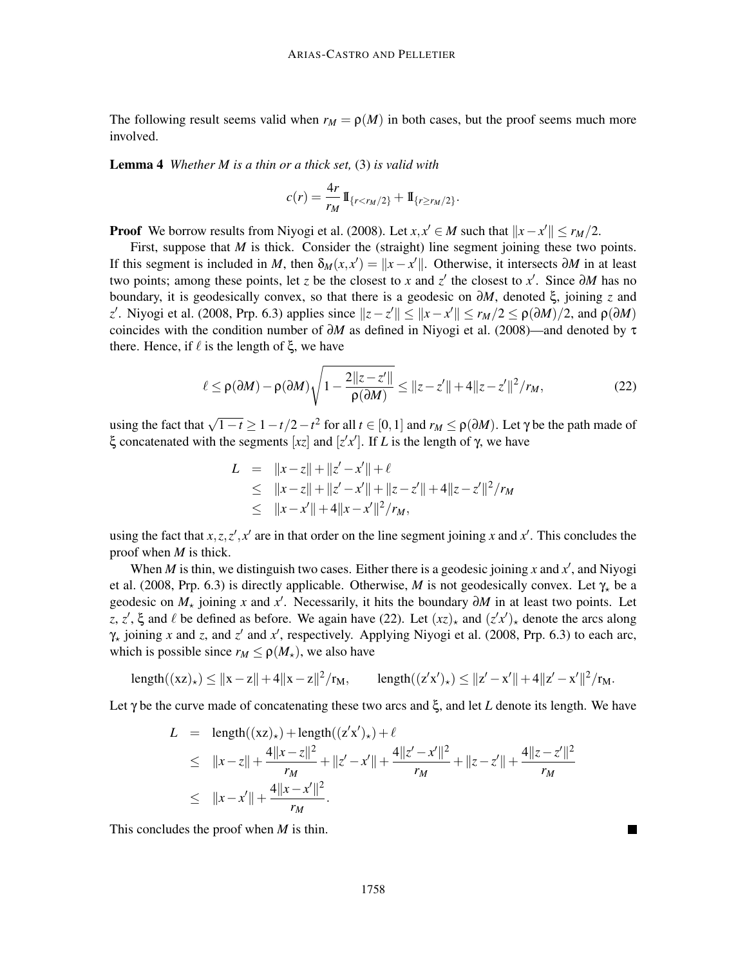The following result seems valid when  $r_M = \rho(M)$  in both cases, but the proof seems much more involved.

Lemma 4 *Whether M is a thin or a thick set,* (3) *is valid with*

$$
c(r) = \frac{4r}{r_M} 1\!\!1_{\{r < r_M/2\}} + 1\!\!1_{\{r \ge r_M/2\}}
$$

**Proof** We borrow results from Niyogi et al. (2008). Let *x*,  $x' \in M$  such that  $||x - x'|| \le r_M/2$ .

First, suppose that *M* is thick. Consider the (straight) line segment joining these two points. If this segment is included in *M*, then  $\delta_M(x, x') = ||x - x'||$ . Otherwise, it intersects ∂*M* in at least two points; among these points, let *z* be the closest to *x* and *z'* the closest to *x'*. Since ∂*M* has no boundary, it is geodesically convex, so that there is a geodesic on ∂*M*, denoted ξ, joining *z* and *z*<sup>'</sup>. Niyogi et al. (2008, Prp. 6.3) applies since  $||z - z'|| ≤ ||x - x'|| ≤ r_M/2 ≤ ρ(∂M)/2$ , and  $ρ(∂M)$ coincides with the condition number of  $\partial M$  as defined in Niyogi et al. (2008)—and denoted by  $\tau$ there. Hence, if  $\ell$  is the length of  $\xi$ , we have

$$
\ell \le \rho(\partial M) - \rho(\partial M) \sqrt{1 - \frac{2||z - z'||}{\rho(\partial M)}} \le ||z - z'|| + 4||z - z'||^2 / r_M,
$$
\n(22)

.

using the fact that  $\sqrt{1-t} \ge 1 - t/2 - t^2$  for all  $t \in [0,1]$  and  $r_M \le \rho(\partial M)$ . Let  $\gamma$  be the path made of ξ concatenated with the segments [*xz*] and [*z* ′ *x* ′ ]. If *L* is the length of γ, we have

$$
L = ||x - z|| + ||z' - x'|| + \ell
$$
  
\n
$$
\leq ||x - z|| + ||z' - x'|| + ||z - z'|| + 4||z - z'||^2/r_M
$$
  
\n
$$
\leq ||x - x'|| + 4||x - x'||^2/r_M,
$$

using the fact that  $x, z, z', x'$  are in that order on the line segment joining x and  $x'$ . This concludes the proof when *M* is thick.

When *M* is thin, we distinguish two cases. Either there is a geodesic joining *x* and  $x'$ , and Niyogi et al. (2008, Prp. 6.3) is directly applicable. Otherwise, *M* is not geodesically convex. Let  $\gamma_{\star}$  be a geodesic on *M*<sub>★</sub> joining *x* and *x*<sup>'</sup>. Necessarily, it hits the boundary ∂*M* in at least two points. Let z, z',  $\xi$  and  $\ell$  be defined as before. We again have (22). Let  $(xz)_*$  and  $(z'x')_*$  denote the arcs along  $\gamma_{\star}$  joining *x* and *z*, and *z'* and *x'*, respectively. Applying Niyogi et al. (2008, Prp. 6.3) to each arc, which is possible since  $r_M \leq \rho(M_\star)$ , we also have

length
$$
((xz)_*) \le ||x - z|| + 4||x - z||^2/r_M
$$
,  $length((z'x')_*) \le ||z' - x'|| + 4||z' - x'||^2/r_M$ .

Let γ be the curve made of concatenating these two arcs and ξ, and let *L* denote its length. We have

$$
L = \text{length}((xz)_{\star}) + \text{length}((z'x')_{\star}) + \ell
$$
  
\n
$$
\leq ||x - z|| + \frac{4||x - z||^2}{r_M} + ||z' - x'|| + \frac{4||z' - x'||^2}{r_M} + ||z - z'|| + \frac{4||z - z'||^2}{r_M}
$$
  
\n
$$
\leq ||x - x'|| + \frac{4||x - x'||^2}{r_M}.
$$

This concludes the proof when *M* is thin.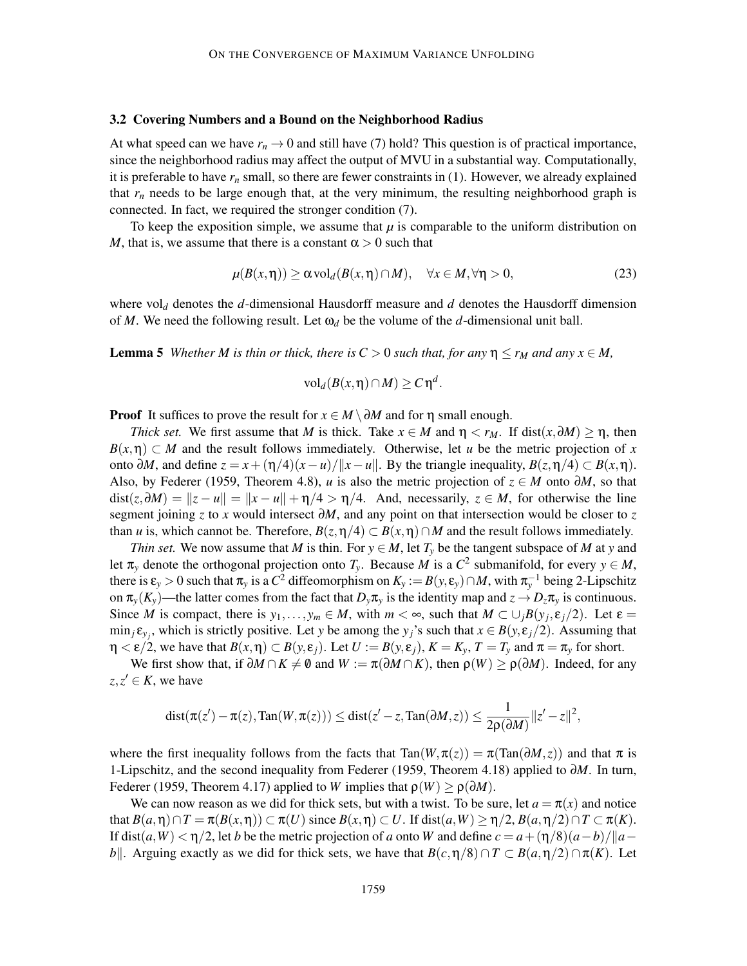#### 3.2 Covering Numbers and a Bound on the Neighborhood Radius

At what speed can we have  $r_n \to 0$  and still have (7) hold? This question is of practical importance, since the neighborhood radius may affect the output of MVU in a substantial way. Computationally, it is preferable to have *r<sup>n</sup>* small, so there are fewer constraints in (1). However, we already explained that  $r_n$  needs to be large enough that, at the very minimum, the resulting neighborhood graph is connected. In fact, we required the stronger condition (7).

To keep the exposition simple, we assume that  $\mu$  is comparable to the uniform distribution on *M*, that is, we assume that there is a constant  $\alpha > 0$  such that

$$
\mu(B(x,\eta)) \ge \alpha \operatorname{vol}_d(B(x,\eta) \cap M), \quad \forall x \in M, \forall \eta > 0,
$$
\n(23)

where  $\text{vol}_d$  denotes the *d*-dimensional Hausdorff measure and *d* denotes the Hausdorff dimension of *M*. We need the following result. Let  $\omega_d$  be the volume of the *d*-dimensional unit ball.

**Lemma 5** *Whether M is thin or thick, there is*  $C > 0$  *such that, for any*  $\eta \le r_M$  *and any*  $x \in M$ ,

$$
\text{vol}_d(B(x,\eta)\cap M)\geq C\eta^d.
$$

**Proof** It suffices to prove the result for  $x \in M \setminus \partial M$  and for  $\eta$  small enough.

*Thick set.* We first assume that *M* is thick. Take  $x \in M$  and  $\eta < r_M$ . If dist( $x, \partial M$ ) ≥  $\eta$ , then  $B(x, \eta) \subset M$  and the result follows immediately. Otherwise, let *u* be the metric projection of *x* onto  $\partial M$ , and define  $z = x + (η/4)(x−*u*)/||x−*u*||$ . By the triangle inequality,  $B(z,η/4) \subset B(x,η)$ . Also, by Federer (1959, Theorem 4.8), *u* is also the metric projection of  $z \in M$  onto  $\partial M$ , so that  $dist(z, \partial M) = ||z - u|| = ||x - u|| + \eta/4 > \eta/4$ . And, necessarily,  $z \in M$ , for otherwise the line segment joining *z* to *x* would intersect ∂*M*, and any point on that intersection would be closer to *z* than *u* is, which cannot be. Therefore,  $B(z, \eta/4) \subset B(x, \eta) \cap M$  and the result follows immediately.

*Thin set.* We now assume that *M* is thin. For  $y \in M$ , let  $T<sub>y</sub>$  be the tangent subspace of *M* at *y* and let  $\pi_y$  denote the orthogonal projection onto  $T_y$ . Because *M* is a  $C^2$  submanifold, for every  $y \in M$ , there is  $\varepsilon_y > 0$  such that  $\pi_y$  is a  $C^2$  diffeomorphism on  $K_y := B(y, \varepsilon_y) \cap M$ , with  $\pi_y^{-1}$  being 2-Lipschitz on  $\pi_v(K_v)$ —the latter comes from the fact that  $D_v\pi_v$  is the identity map and  $z \to D_z\pi_v$  is continuous. Since *M* is compact, there is  $y_1, \ldots, y_m \in M$ , with  $m < \infty$ , such that  $M \subset \bigcup_j B(y_j, \varepsilon_j/2)$ . Let  $\varepsilon =$  $\min_j \varepsilon_{y_j}$ , which is strictly positive. Let *y* be among the *y<sub>j</sub>*'s such that  $x \in B(y, \varepsilon_j/2)$ . Assuming that  $\eta < \varepsilon/2$ , we have that  $B(x, \eta) \subset B(y, \varepsilon_i)$ . Let  $U := B(y, \varepsilon_i)$ ,  $K = K_y$ ,  $T = T_y$  and  $\pi = \pi_y$  for short.

We first show that, if  $\partial M \cap K \neq \emptyset$  and  $W := \pi(\partial M \cap K)$ , then  $\rho(W) \ge \rho(\partial M)$ . Indeed, for any  $z, z' \in K$ , we have

$$
\textup{dist}(\pi(z')-\pi(z),\textup{Tan}(W,\pi(z)))\leq \textup{dist}(z'-z,\textup{Tan}(\partial M,z))\leq \frac{1}{2\rho(\partial M)}\|z'-z\|^2,
$$

where the first inequality follows from the facts that  $Tan(W, \pi(z)) = \pi(Tan(\partial M, z))$  and that  $\pi$  is 1-Lipschitz, and the second inequality from Federer (1959, Theorem 4.18) applied to ∂*M*. In turn, Federer (1959, Theorem 4.17) applied to *W* implies that  $\rho(W) \ge \rho(\partial M)$ .

We can now reason as we did for thick sets, but with a twist. To be sure, let  $a = \pi(x)$  and notice that  $B(a,\eta) \cap T = \pi(B(x,\eta)) \subset \pi(U)$  since  $B(x,\eta) \subset U$ . If dist $(a,W) > \eta/2$ ,  $B(a,\eta/2) \cap T \subset \pi(K)$ . If dist $(a, W) < \eta/2$ , let *b* be the metric projection of *a* onto *W* and define  $c = a + (\eta/8)(a - b)/\|a - b\|$ *b*<sup>k</sup>. Arguing exactly as we did for thick sets, we have that  $B(c, \eta/8) \cap T \subset B(a, \eta/2) \cap \pi(K)$ . Let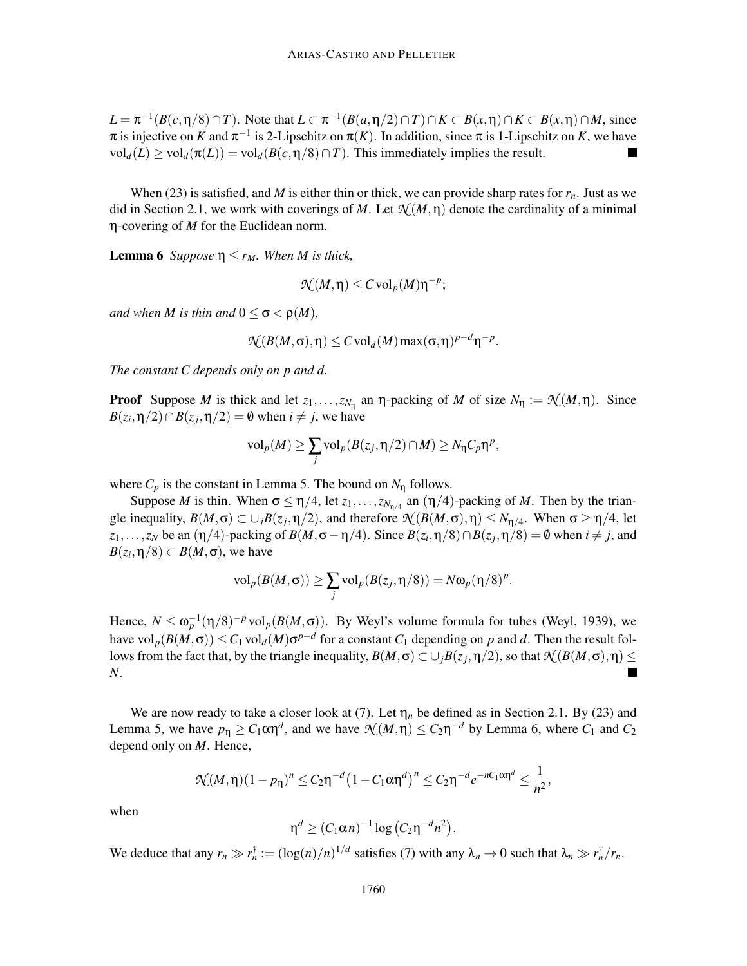$L = \pi^{-1}(B(c, \eta/8) \cap T)$ . Note that  $L \subset \pi^{-1}(B(a, \eta/2) \cap T) \cap K \subset B(x, \eta) \cap K \subset B(x, \eta) \cap M$ , since  $\pi$  is injective on *K* and  $\pi^{-1}$  is 2-Lipschitz on  $\pi(K)$ . In addition, since  $\pi$  is 1-Lipschitz on *K*, we have  $vol_d(L) \geq vol_d(\pi(L)) = vol_d(B(c, \eta/8) \cap T)$ . This immediately implies the result.  $\blacksquare$ 

When (23) is satisfied, and *M* is either thin or thick, we can provide sharp rates for  $r<sub>n</sub>$ . Just as we did in Section 2.1, we work with coverings of *M*. Let  $\mathcal{N}(M,\eta)$  denote the cardinality of a minimal η-covering of *M* for the Euclidean norm.

**Lemma 6** *Suppose*  $\eta \le r_M$ *. When M is thick,* 

$$
\mathcal{N}(M,\eta)\leq C\operatorname{vol}_p(M)\eta^{-p};
$$

*and when M is thin and*  $0 \le \sigma < \rho(M)$ *,* 

$$
\mathcal{N}(B(M,\sigma),\eta) \leq C \operatorname{vol}_d(M) \max(\sigma,\eta)^{p-d} \eta^{-p}.
$$

*The constant C depends only on p and d.*

**Proof** Suppose *M* is thick and let  $z_1, \ldots, z_{N_\eta}$  an  $\eta$ -packing of *M* of size  $N_\eta := \mathcal{N}(M, \eta)$ . Since  $B(z_i, \eta/2) \cap B(z_j, \eta/2) = \emptyset$  when  $i \neq j$ , we have

$$
\mathrm{vol}_p(M) \geq \sum_j \mathrm{vol}_p(B(z_j, \eta/2) \cap M) \geq N_{\eta} C_p \eta^p,
$$

where  $C_p$  is the constant in Lemma 5. The bound on  $N_n$  follows.

Suppose *M* is thin. When  $\sigma \le \eta/4$ , let  $z_1, \ldots, z_{N_{\eta/4}}$  an  $(\eta/4)$ -packing of *M*. Then by the triangle inequality,  $B(M, \sigma) \subset \cup_j B(z_j, \eta/2)$ , and therefore  $\mathcal{N}(B(M, \sigma), \eta) \leq N_{\eta/4}$ . When  $\sigma \geq \eta/4$ , let *z*<sub>1</sub>,...,*z<sub>N</sub>* be an ( $\eta$ /4)-packing of *B*(*M*, $\sigma - \eta$ /4). Since *B*(*z<sub>i</sub>*, $\eta$ /8)∩*B*(*z<sub>j</sub>*, $\eta$ /8) = 0 when *i* ≠ *j*, and  $B(z_i, \eta/8) \subset B(M, \sigma)$ , we have

$$
\text{vol}_p(B(M,\sigma)) \geq \sum_j \text{vol}_p(B(z_j,\eta/8)) = N\omega_p(\eta/8)^p.
$$

Hence,  $N \le \omega_p^{-1}(\eta/8)^{-p}$  vol<sub>p</sub> $(B(M, \sigma))$ . By Weyl's volume formula for tubes (Weyl, 1939), we have  $vol_p(B(M, \sigma)) \le C_1 vol_d(M) \sigma^{p-d}$  for a constant  $C_1$  depending on  $p$  and  $d$ . Then the result follows from the fact that, by the triangle inequality,  $B(M, \sigma) \subset \cup_j B(z_j, \eta/2)$ , so that  $\mathcal{N}(B(M, \sigma), \eta) \leq$ *N*.

We are now ready to take a closer look at (7). Let  $\eta_n$  be defined as in Section 2.1. By (23) and Lemma 5, we have  $p_{\eta} \ge C_1 \alpha \eta^d$ , and we have  $\mathcal{N}(M, \eta) \le C_2 \eta^{-d}$  by Lemma 6, where  $C_1$  and  $C_2$ depend only on *M*. Hence,

$$
\mathcal{N}(M,\eta)(1-p_{\eta})^n \leq C_2 \eta^{-d} \left(1 - C_1 \alpha \eta^d\right)^n \leq C_2 \eta^{-d} e^{-nC_1 \alpha \eta^d} \leq \frac{1}{n^2},
$$

when

$$
\eta^d \geq (C_1 \alpha n)^{-1} \log (C_2 \eta^{-d} n^2).
$$

We deduce that any  $r_n \gg r_n^{\dagger} := (\log(n)/n)^{1/d}$  satisfies (7) with any  $\lambda_n \to 0$  such that  $\lambda_n \gg r_n^{\dagger}/r_n$ .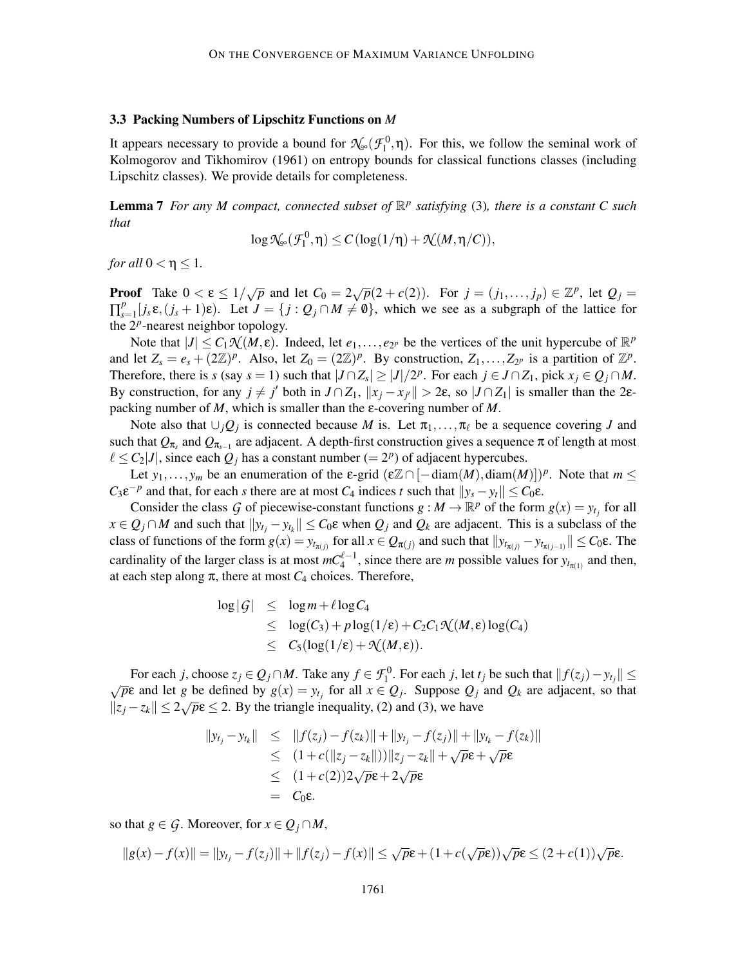#### 3.3 Packing Numbers of Lipschitz Functions on *M*

It appears necessary to provide a bound for  $\mathcal{N}_{\infty}(\mathcal{F}_1^0, \eta)$ . For this, we follow the seminal work of Kolmogorov and Tikhomirov (1961) on entropy bounds for classical functions classes (including Lipschitz classes). We provide details for completeness.

Lemma 7 *For any M compact, connected subset of* R *p satisfying* (3)*, there is a constant C such that*

$$
\log\mathcal{N}_{\! \! \! \! \! \circlearrowleft}(\mathcal{F}^0_1,\eta) \leq C\left(\log(1/\eta)+\mathcal{N}(M,\eta/C)\right),
$$

*for all*  $0 < \eta \leq 1$ *.* 

**Proof** Take  $0 < \varepsilon \le 1/\sqrt{p}$  and let  $C_0 = 2\sqrt{p}(2 + c(2))$ . For  $j = (j_1, \ldots, j_p) \in \mathbb{Z}^p$ , let  $Q_j =$  $\prod_{s=1}^{p}$  $S_{s=1}^p[j_s\epsilon,(j_s+1)\epsilon)$ . Let  $J=\{j:Q_j\cap M\neq\emptyset\}$ , which we see as a subgraph of the lattice for the  $2^p$ -nearest neighbor topology.

Note that  $|J| \leq C_1 \mathcal{N}(M, \varepsilon)$ . Indeed, let  $e_1, \ldots, e_{2^p}$  be the vertices of the unit hypercube of  $\mathbb{R}^p$ and let  $Z_s = e_s + (2\mathbb{Z})^p$ . Also, let  $Z_0 = (2\mathbb{Z})^p$ . By construction,  $Z_1, \ldots, Z_{2^p}$  is a partition of  $\mathbb{Z}^p$ . Therefore, there is *s* (say *s* = 1) such that  $|J \cap Z_s| \ge |J|/2^p$ . For each  $j \in J \cap Z_1$ , pick  $x_j \in Q_j \cap M$ . By construction, for any  $j \neq j'$  both in  $J \cap Z_1$ ,  $||x_j - x_{j'}|| > 2\varepsilon$ , so  $|J \cap Z_1|$  is smaller than the 2 $\varepsilon$ packing number of *M*, which is smaller than the ε-covering number of *M*.

Note also that  $\cup_j Q_j$  is connected because *M* is. Let  $\pi_1, \ldots, \pi_\ell$  be a sequence covering *J* and such that  $Q_{\pi_s}$  and  $Q_{\pi_{s-1}}$  are adjacent. A depth-first construction gives a sequence  $\pi$  of length at most  $\ell \le C_2 |J|$ , since each  $Q_j$  has a constant number (=  $2^p$ ) of adjacent hypercubes.

Let  $y_1, \ldots, y_m$  be an enumeration of the  $\varepsilon$ -grid  $(\varepsilon \mathbb{Z} \cap [-\text{diam}(M), \text{diam}(M)])^p$ . Note that  $m \leq$  $C_3 \varepsilon^{-p}$  and that, for each *s* there are at most  $C_4$  indices *t* such that  $||y_s - y_t|| \leq C_0 \varepsilon$ .

Consider the class *G* of piecewise-constant functions  $g : M \to \mathbb{R}^p$  of the form  $g(x) = y_{t_j}$  for all  $x \in Q_j \cap M$  and such that  $||y_{t_j} - y_{t_k}|| \le C_0 \varepsilon$  when  $Q_j$  and  $Q_k$  are adjacent. This is a subclass of the class of functions of the form  $g(x) = y_{t_{\pi(j)}}$  for all  $x \in Q_{\pi(j)}$  and such that  $||y_{t_{\pi(j)}} - y_{t_{\pi(j-1)}}|| \leq C_0 \varepsilon$ . The cardinality of the larger class is at most  $mC_4^{\ell-1}$ , since there are *m* possible values for  $y_{t_{\pi(1)}}$  and then, at each step along  $\pi$ , there at most  $C_4$  choices. Therefore,

$$
\log |\mathcal{G}| \leq \log m + \ell \log C_4
$$
  
\n
$$
\leq \log(C_3) + p \log(1/\epsilon) + C_2 C_1 \mathcal{N}(M, \epsilon) \log(C_4)
$$
  
\n
$$
\leq C_5 (\log(1/\epsilon) + \mathcal{N}(M, \epsilon)).
$$

For each *j*, choose  $z_j \in Q_j \cap M$ . Take any  $f \in \mathcal{F}_1^0$ . For each *j*, let  $t_j$  be such that  $||f(z_j) - y_{t_j}|| \le$  $\sqrt{p}$ **c** and let *g* be defined by  $g(x) = y_t$  for all  $x \in Q_j$ . Suppose  $Q_j$  and  $Q_k$  are adjacent, so that  $||z_j - z_k|| \leq 2\sqrt{p}\epsilon \leq 2$ . By the triangle inequality, (2) and (3), we have

$$
||y_{t_j} - y_{t_k}|| \le ||f(z_j) - f(z_k)|| + ||y_{t_j} - f(z_j)|| + ||y_{t_k} - f(z_k)||
$$
  
\n
$$
\le (1 + c(||z_j - z_k||)) ||z_j - z_k|| + \sqrt{p\epsilon} + \sqrt{p\epsilon}
$$
  
\n
$$
\le (1 + c(2))2\sqrt{p\epsilon} + 2\sqrt{p\epsilon}
$$
  
\n
$$
= C_0 \epsilon.
$$

so that *g*  $\in$  *G*. Moreover, for *x*  $\in$  *Q*<sub>*j*</sub>  $\cap$  *M*,

$$
||g(x)-f(x)|| = ||y_{t_j}-f(z_j)|| + ||f(z_j)-f(x)|| \le \sqrt{p}\varepsilon + (1+c(\sqrt{p}\varepsilon))\sqrt{p}\varepsilon \le (2+c(1))\sqrt{p}\varepsilon.
$$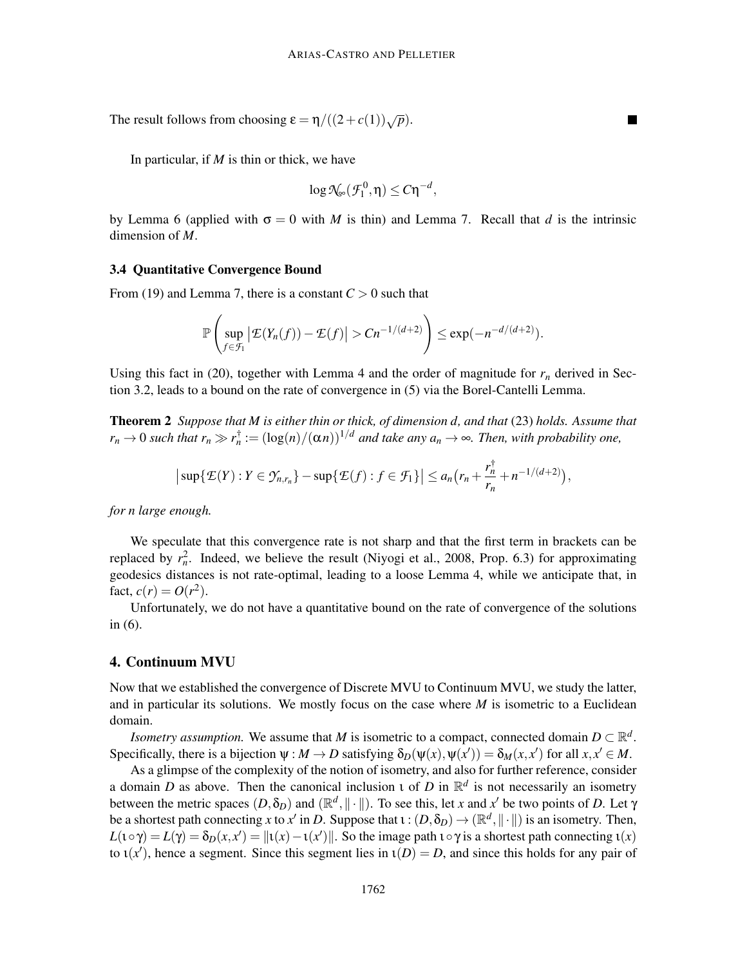The result follows from choosing  $\varepsilon = \eta/((2+c(1))\sqrt{p}).$ 

In particular, if *M* is thin or thick, we have

$$
\log \mathcal{N}_{\infty}(\mathcal{F}_1^0, \eta) \leq C \eta^{-d},
$$

 $\blacksquare$ 

by Lemma 6 (applied with  $\sigma = 0$  with *M* is thin) and Lemma 7. Recall that *d* is the intrinsic dimension of *M*.

#### 3.4 Quantitative Convergence Bound

From (19) and Lemma 7, there is a constant  $C > 0$  such that

$$
\mathbb{P}\left(\sup_{f\in\mathcal{F}_1}|\mathcal{E}(Y_n(f))-\mathcal{E}(f)|>Cn^{-1/(d+2)}\right)\leq \exp(-n^{-d/(d+2)}).
$$

Using this fact in (20), together with Lemma 4 and the order of magnitude for  $r<sub>n</sub>$  derived in Section 3.2, leads to a bound on the rate of convergence in (5) via the Borel-Cantelli Lemma.

Theorem 2 *Suppose that M is either thin or thick, of dimension d, and that* (23) *holds. Assume that*  $r_n \to 0$  *such that*  $r_n \gg r_n^{\dagger} := (\log(n)/(\alpha n))^{1/d}$  *and take any*  $a_n \to \infty$ *. Then, with probability one,* 

$$
\big|\sup\{\mathcal{E}(Y):Y\in\mathcal{Y}_{n,r_n}\}-\sup\{\mathcal{E}(f):f\in\mathcal{F}_1\}\big|\leq a_n\big(r_n+\frac{r_n^{\dagger}}{r_n}+n^{-1/(d+2)}\big),
$$

*for n large enough.*

We speculate that this convergence rate is not sharp and that the first term in brackets can be replaced by  $r_n^2$ . Indeed, we believe the result (Niyogi et al., 2008, Prop. 6.3) for approximating geodesics distances is not rate-optimal, leading to a loose Lemma 4, while we anticipate that, in fact,  $c(r) = O(r^2)$ .

Unfortunately, we do not have a quantitative bound on the rate of convergence of the solutions in (6).

# 4. Continuum MVU

Now that we established the convergence of Discrete MVU to Continuum MVU, we study the latter, and in particular its solutions. We mostly focus on the case where *M* is isometric to a Euclidean domain.

*Isometry assumption.* We assume that *M* is isometric to a compact, connected domain  $D \subset \mathbb{R}^d$ . Specifically, there is a bijection  $\psi : M \to D$  satisfying  $\delta_D(\psi(x), \psi(x')) = \delta_M(x, x')$  for all  $x, x' \in M$ .

As a glimpse of the complexity of the notion of isometry, and also for further reference, consider a domain *D* as above. Then the canonical inclusion *t* of *D* in  $\mathbb{R}^d$  is not necessarily an isometry between the metric spaces  $(D, \delta_D)$  and  $(\mathbb{R}^d, \|\cdot\|)$ . To see this, let *x* and *x*' be two points of *D*. Let  $\gamma$ be a shortest path connecting *x* to *x'* in *D*. Suppose that  $\iota : (D, \delta_D) \to (\mathbb{R}^d, ||\cdot||)$  is an isometry. Then,  $L(\iota \circ \gamma) = L(\gamma) = \delta_D(x, x') = ||\iota(x) - \iota(x')||$ . So the image path  $\iota \circ \gamma$  is a shortest path connecting  $\iota(x)$ to  $\iota(x')$ , hence a segment. Since this segment lies in  $\iota(D) = D$ , and since this holds for any pair of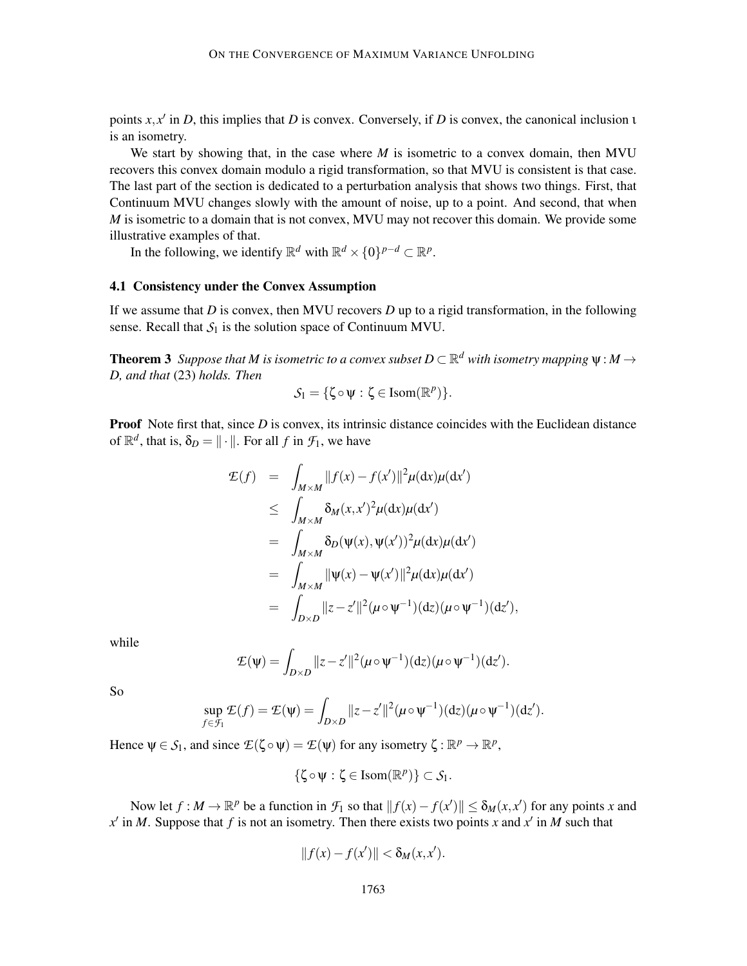points *x*, *x* ′ in *D*, this implies that *D* is convex. Conversely, if *D* is convex, the canonical inclusion ι is an isometry.

We start by showing that, in the case where *M* is isometric to a convex domain, then MVU recovers this convex domain modulo a rigid transformation, so that MVU is consistent is that case. The last part of the section is dedicated to a perturbation analysis that shows two things. First, that Continuum MVU changes slowly with the amount of noise, up to a point. And second, that when *M* is isometric to a domain that is not convex, MVU may not recover this domain. We provide some illustrative examples of that.

In the following, we identify  $\mathbb{R}^d$  with  $\mathbb{R}^d \times \{0\}^{p-d} \subset \mathbb{R}^p$ .

# 4.1 Consistency under the Convex Assumption

If we assume that *D* is convex, then MVU recovers *D* up to a rigid transformation, in the following sense. Recall that  $S_1$  is the solution space of Continuum MVU.

**Theorem 3** Suppose that M is isometric to a convex subset  $D \subset \mathbb{R}^d$  with isometry mapping  $\psi : M \to$ *D, and that* (23) *holds. Then*

$$
\mathcal{S}_1 = \{ \zeta \circ \psi : \zeta \in \mathrm{Isom}(\mathbb{R}^p) \}.
$$

**Proof** Note first that, since *D* is convex, its intrinsic distance coincides with the Euclidean distance of  $\mathbb{R}^d$ , that is,  $\delta_D = ||\cdot||$ . For all *f* in  $\mathcal{F}_1$ , we have

$$
\mathcal{L}(f) = \int_{M \times M} ||f(x) - f(x')||^2 \mu(\mathrm{d}x) \mu(\mathrm{d}x')
$$
\n
$$
\leq \int_{M \times M} \delta_M(x, x')^2 \mu(\mathrm{d}x) \mu(\mathrm{d}x')
$$
\n
$$
= \int_{M \times M} \delta_D(\psi(x), \psi(x'))^2 \mu(\mathrm{d}x) \mu(\mathrm{d}x')
$$
\n
$$
= \int_{M \times M} ||\psi(x) - \psi(x')||^2 \mu(\mathrm{d}x) \mu(\mathrm{d}x')
$$
\n
$$
= \int_{D \times D} ||z - z'||^2 (\mu \circ \psi^{-1})(\mathrm{d}z) (\mu \circ \psi^{-1})(\mathrm{d}z'),
$$

while

$$
\mathcal{E}(\psi) = \int_{D\times D} ||z-z'||^2 (\mu \circ \psi^{-1})(dz)(\mu \circ \psi^{-1})(dz').
$$

So

$$
\sup_{f\in\mathcal{F}_1}\mathcal{E}(f)=\mathcal{E}(\psi)=\int_{D\times D}\|z-z'\|^2(\mu\circ\psi^{-1})(dz)(\mu\circ\psi^{-1})(dz').
$$

Hence  $\psi \in S_1$ , and since  $\mathcal{L}(\zeta \circ \psi) = \mathcal{L}(\psi)$  for any isometry  $\zeta : \mathbb{R}^p \to \mathbb{R}^p$ ,

$$
\{\zeta\!\circ\!\psi: \zeta\in\mathrm{Isom}(\mathbb{R}^p)\}\subset\mathcal{S}_1.
$$

Now let  $f : M \to \mathbb{R}^p$  be a function in  $\mathcal{F}_1$  so that  $||f(x) - f(x')|| \le \delta_M(x, x')$  for any points *x* and  $x'$  in *M*. Suppose that *f* is not an isometry. Then there exists two points *x* and  $x'$  in *M* such that

$$
||f(x)-f(x')|| < \delta_M(x,x').
$$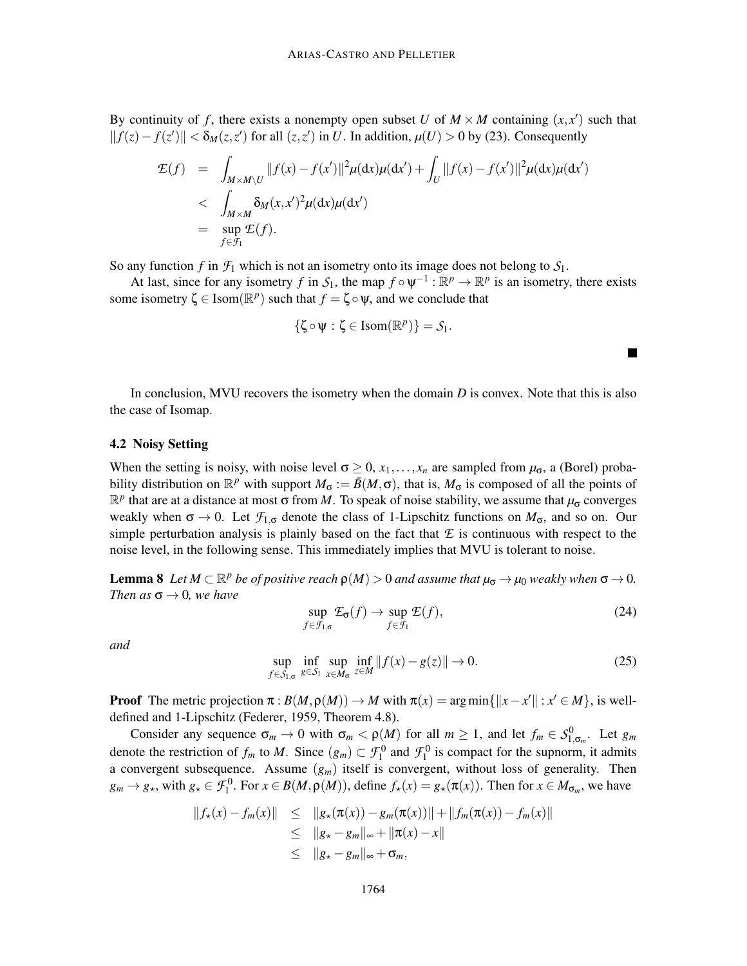By continuity of f, there exists a nonempty open subset U of  $M \times M$  containing  $(x, x')$  such that  $||f(z) - f(z')|| < \delta_M(z, z')$  for all  $(z, z')$  in *U*. In addition,  $\mu$ (*U*) > 0 by (23). Consequently

$$
\mathcal{E}(f) = \int_{M \times M \backslash U} ||f(x) - f(x')||^2 \mu(\mathrm{d}x) \mu(\mathrm{d}x') + \int_U ||f(x) - f(x')||^2 \mu(\mathrm{d}x) \mu(\mathrm{d}x')
$$
\n
$$
\leq \int_{M \times M} \delta_M(x, x')^2 \mu(\mathrm{d}x) \mu(\mathrm{d}x')
$$
\n
$$
= \sup_{f \in \mathcal{F}_1} \mathcal{E}(f).
$$

So any function *f* in  $\mathcal{F}_1$  which is not an isometry onto its image does not belong to  $\mathcal{S}_1$ .

At last, since for any isometry *f* in  $S_1$ , the map  $f \circ \psi^{-1} : \mathbb{R}^p \to \mathbb{R}^p$  is an isometry, there exists some isometry  $\zeta \in \text{Isom}(\mathbb{R}^p)$  such that  $f = \zeta \circ \psi$ , and we conclude that

$$
\{\zeta\!\circ\!\psi:\zeta\in\textnormal{Isom}(\mathbb{R}^p)\}=\mathcal{S}_1.
$$

In conclusion, MVU recovers the isometry when the domain *D* is convex. Note that this is also the case of Isomap.

#### 4.2 Noisy Setting

When the setting is noisy, with noise level  $\sigma \geq 0$ ,  $x_1, \ldots, x_n$  are sampled from  $\mu_{\sigma}$ , a (Borel) probability distribution on  $\mathbb{R}^p$  with support  $M_\sigma := \bar{B}(M,\sigma)$ , that is,  $M_\sigma$  is composed of all the points of  $\mathbb{R}^p$  that are at a distance at most σ from *M*. To speak of noise stability, we assume that  $\mu_σ$  converges weakly when  $\sigma \to 0$ . Let  $\mathcal{F}_{1,\sigma}$  denote the class of 1-Lipschitz functions on  $M_{\sigma}$ , and so on. Our simple perturbation analysis is plainly based on the fact that  $E$  is continuous with respect to the noise level, in the following sense. This immediately implies that MVU is tolerant to noise.

**Lemma 8** Let  $M \subset \mathbb{R}^p$  be of positive reach  $\rho(M) > 0$  and assume that  $\mu_{\sigma} \to \mu_0$  weakly when  $\sigma \to 0$ . *Then as*  $\sigma \rightarrow 0$ *, we have* 

$$
\sup_{f \in \mathcal{F}_{1,\sigma}} \mathcal{L}_{\sigma}(f) \to \sup_{f \in \mathcal{F}_1} \mathcal{L}(f),\tag{24}
$$

 $\blacksquare$ 

*and*

$$
\sup_{f \in S_{1,\sigma}} \inf_{g \in S_1} \sup_{x \in M_{\sigma}} \inf_{z \in M} ||f(x) - g(z)|| \to 0. \tag{25}
$$

**Proof** The metric projection  $\pi : B(M, \rho(M)) \to M$  with  $\pi(x) = \arg \min \{ ||x - x'|| : x' \in M \}$ , is welldefined and 1-Lipschitz (Federer, 1959, Theorem 4.8).

Consider any sequence  $\sigma_m \to 0$  with  $\sigma_m < \rho(M)$  for all  $m \ge 1$ , and let  $f_m \in S^0_{1, \sigma_m}$ . Let  $g_m$ denote the restriction of  $f_m$  to *M*. Since  $(g_m) \subset \mathcal{F}_1^0$  and  $\mathcal{F}_1^0$  is compact for the supnorm, it admits a convergent subsequence. Assume (*gm*) itself is convergent, without loss of generality. Then  $g_m \to g_*$ , with  $g_* \in \mathcal{F}_1^0$ . For  $x \in B(M, \rho(M))$ , define  $f_*(x) = g_*(\pi(x))$ . Then for  $x \in M_{\sigma_m}$ , we have

$$
||f_{\star}(x) - f_m(x)|| \le ||g_{\star}(\pi(x)) - g_m(\pi(x))|| + ||f_m(\pi(x)) - f_m(x)||
$$
  
\n
$$
\le ||g_{\star} - g_m||_{\infty} + ||\pi(x) - x||
$$
  
\n
$$
\le ||g_{\star} - g_m||_{\infty} + \sigma_m,
$$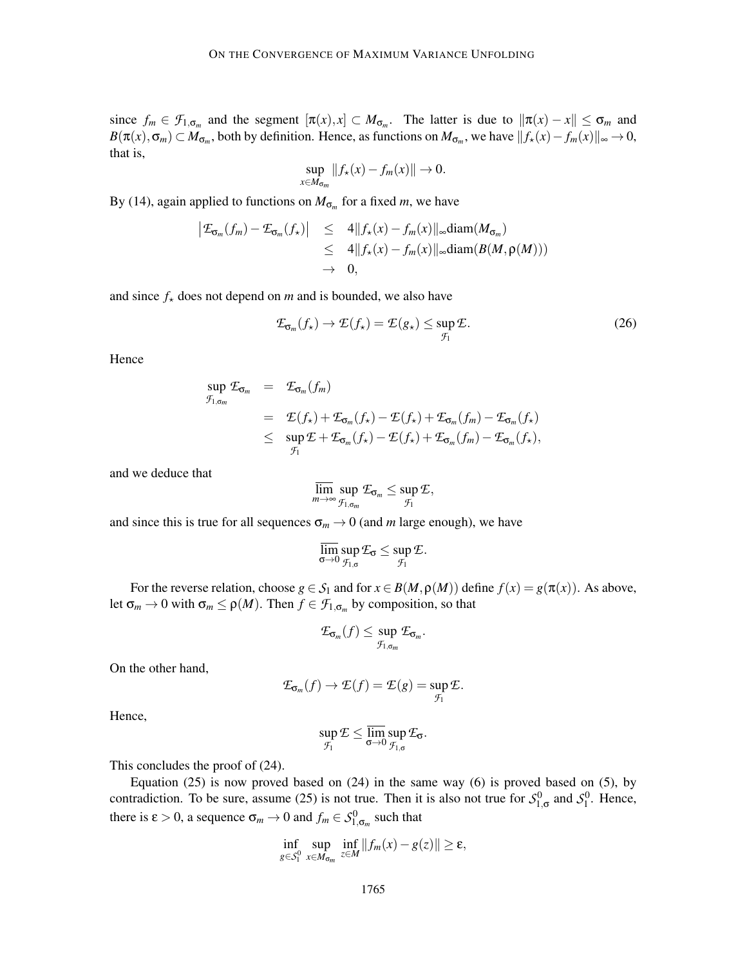since  $f_m \in \mathcal{F}_{1,\sigma_m}$  and the segment  $[\pi(x),x] \subset M_{\sigma_m}$ . The latter is due to  $\|\pi(x)-x\| \leq \sigma_m$  and  $B(\pi(x), \sigma_m) \subset M_{\sigma_m}$ , both by definition. Hence, as functions on  $M_{\sigma_m}$ , we have  $||f_*(x) - f_m(x)||_{\infty} \to 0$ , that is,

$$
\sup_{x\in M_{\sigma_m}}||f_\star(x)-f_m(x)||\to 0.
$$

By (14), again applied to functions on  $M_{\sigma_m}$  for a fixed *m*, we have

$$
\begin{array}{rcl}\n|\mathcal{E}_{\mathbf{\sigma}_m}(f_m) - \mathcal{E}_{\mathbf{\sigma}_m}(f_\star)| & \leq & 4||f_\star(x) - f_m(x)||_\infty \text{diam}(M_{\mathbf{\sigma}_m}) \\
& \leq & 4||f_\star(x) - f_m(x)||_\infty \text{diam}(B(M, \rho(M))) \\
&\to & 0,\n\end{array}
$$

and since  $f_{\star}$  does not depend on *m* and is bounded, we also have

$$
\mathcal{L}_{\mathbf{G}_m}(f_\star) \to \mathcal{L}(f_\star) = \mathcal{L}(g_\star) \le \sup_{\mathcal{F}_1} \mathcal{L}.\tag{26}
$$

Hence

$$
\sup_{\mathcal{F}_{1,\sigma_m}} \mathcal{E}_{\sigma_m} = \mathcal{E}_{\sigma_m}(f_m)
$$
\n
$$
= \mathcal{E}(f_\star) + \mathcal{E}_{\sigma_m}(f_\star) - \mathcal{E}(f_\star) + \mathcal{E}_{\sigma_m}(f_m) - \mathcal{E}_{\sigma_m}(f_\star)
$$
\n
$$
\leq \sup_{\mathcal{F}_1} \mathcal{E} + \mathcal{E}_{\sigma_m}(f_\star) - \mathcal{E}(f_\star) + \mathcal{E}_{\sigma_m}(f_m) - \mathcal{E}_{\sigma_m}(f_\star),
$$

and we deduce that

$$
\varlimsup_{m\to\infty}\sup_{\mathcal{F}_{1,\sigma_m}}\mathcal{E}_{\sigma_m}\leq \sup_{\mathcal{F}_1}\mathcal{E},
$$

and since this is true for all sequences  $\sigma_m \rightarrow 0$  (and *m* large enough), we have

$$
\overline{\lim_{\sigma \to 0}} \sup_{\mathcal{F}_{1,\sigma}} \mathcal{E}_{\sigma} \leq \sup_{\mathcal{F}_{1}} \mathcal{E}.
$$

For the reverse relation, choose  $g \in S_1$  and for  $x \in B(M, \rho(M))$  define  $f(x) = g(\pi(x))$ . As above, let  $\sigma_m \to 0$  with  $\sigma_m \le \rho(M)$ . Then  $f \in \mathcal{F}_{1,\sigma_m}$  by composition, so that

$$
\mathcal{E}_{\sigma_m}(f) \leq \sup_{\mathcal{F}_{1,\sigma_m}} \mathcal{E}_{\sigma_m}.
$$

On the other hand,

$$
\mathcal{L}_{\sigma_m}(f) \to \mathcal{L}(f) = \mathcal{L}(g) = \sup_{\mathcal{F}_1} \mathcal{L}.
$$

Hence,

$$
\sup_{\mathcal{F}_1} \mathcal{E} \leq \overline{\lim_{\sigma \to 0}} \sup_{\mathcal{F}_{1,\sigma}} \mathcal{E}_{\sigma}.
$$

This concludes the proof of (24).

Equation  $(25)$  is now proved based on  $(24)$  in the same way  $(6)$  is proved based on  $(5)$ , by contradiction. To be sure, assume (25) is not true. Then it is also not true for  $S^0_{1,\sigma}$  and  $S^0_1$ . Hence, there is  $\varepsilon > 0$ , a sequence  $\sigma_m \to 0$  and  $f_m \in S^0_{1,\sigma_m}$  such that

$$
\inf_{g\in\mathcal{S}_1^0}\sup_{x\in M_{\sigma_m}}\inf_{z\in M}\|f_m(x)-g(z)\|\geq \varepsilon,
$$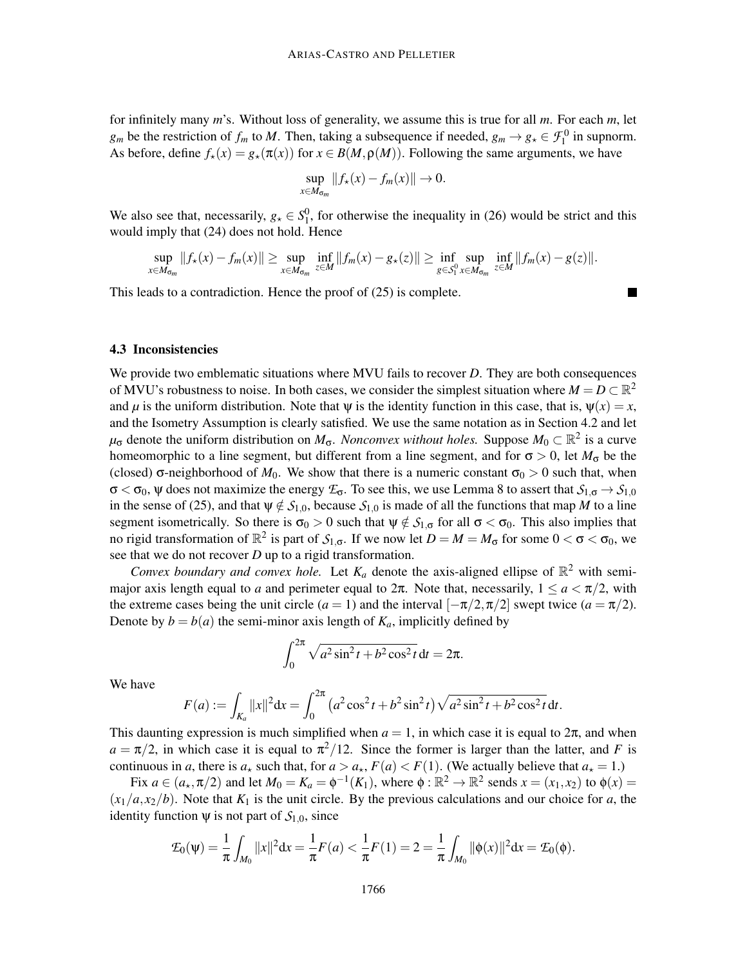for infinitely many *m*'s. Without loss of generality, we assume this is true for all *m*. For each *m*, let *g<sub>m</sub>* be the restriction of  $f_m$  to *M*. Then, taking a subsequence if needed,  $g_m \to g_* \in \mathcal{F}_1^0$  in supnorm. As before, define  $f_{\star}(x) = g_{\star}(\pi(x))$  for  $x \in B(M, \rho(M))$ . Following the same arguments, we have

$$
\sup_{x\in M_{\sigma_m}}||f_{\star}(x)-f_m(x)||\to 0.
$$

We also see that, necessarily,  $g_{\star} \in S_1^0$ , for otherwise the inequality in (26) would be strict and this would imply that (24) does not hold. Hence

$$
\sup_{x\in M_{\sigma_m}}||f_\star(x)-f_m(x)||\geq \sup_{x\in M_{\sigma_m}}\inf_{z\in M}||f_m(x)-g_\star(z)||\geq \inf_{g\in S_1^0}\sup_{x\in M_{\sigma_m}}\inf_{z\in M}||f_m(x)-g(z)||.
$$

This leads to a contradiction. Hence the proof of (25) is complete.

#### 4.3 Inconsistencies

We provide two emblematic situations where MVU fails to recover *D*. They are both consequences of MVU's robustness to noise. In both cases, we consider the simplest situation where  $M = D \subset \mathbb{R}^2$ and  $\mu$  is the uniform distribution. Note that  $\Psi$  is the identity function in this case, that is,  $\Psi(x) = x$ , and the Isometry Assumption is clearly satisfied. We use the same notation as in Section 4.2 and let  $\mu_{\sigma}$  denote the uniform distribution on  $M_{\sigma}$ . *Nonconvex without holes*. Suppose  $M_0 \subset \mathbb{R}^2$  is a curve homeomorphic to a line segment, but different from a line segment, and for  $\sigma > 0$ , let  $M_{\sigma}$  be the (closed)  $\sigma$ -neighborhood of  $M_0$ . We show that there is a numeric constant  $\sigma_0 > 0$  such that, when σ < σ0, ψ does not maximize the energy *E*σ. To see this, we use Lemma 8 to assert that *S*<sup>1</sup>,<sup>σ</sup> → *S*<sup>1</sup>,<sup>0</sup> in the sense of (25), and that  $\psi \notin S_{1,0}$ , because  $S_{1,0}$  is made of all the functions that map *M* to a line segment isometrically. So there is  $\sigma_0 > 0$  such that  $\psi \notin S_{1,\sigma}$  for all  $\sigma < \sigma_0$ . This also implies that no rigid transformation of  $\mathbb{R}^2$  is part of  $\mathcal{S}_{1,\sigma}$ . If we now let  $D = M = M_{\sigma}$  for some  $0 < \sigma < \sigma_0$ , we see that we do not recover *D* up to a rigid transformation.

*Convex boundary and convex hole.* Let  $K_a$  denote the axis-aligned ellipse of  $\mathbb{R}^2$  with semimajor axis length equal to *a* and perimeter equal to  $2\pi$ . Note that, necessarily,  $1 \le a < \pi/2$ , with the extreme cases being the unit circle  $(a = 1)$  and the interval  $[-\pi/2, \pi/2]$  swept twice  $(a = \pi/2)$ . Denote by  $b = b(a)$  the semi-minor axis length of  $K_a$ , implicitly defined by

$$
\int_0^{2\pi} \sqrt{a^2 \sin^2 t + b^2 \cos^2 t} \, dt = 2\pi.
$$

We have

$$
F(a) := \int_{K_a} ||x||^2 dx = \int_0^{2\pi} (a^2 \cos^2 t + b^2 \sin^2 t) \sqrt{a^2 \sin^2 t + b^2 \cos^2 t} dt.
$$

This daunting expression is much simplified when  $a = 1$ , in which case it is equal to  $2\pi$ , and when  $a = \pi/2$ , in which case it is equal to  $\pi^2/12$ . Since the former is larger than the latter, and *F* is continuous in *a*, there is  $a_{\star}$  such that, for  $a > a_{\star}$ ,  $F(a) < F(1)$ . (We actually believe that  $a_{\star} = 1$ .)

Fix  $a \in (a_\star, \pi/2)$  and let  $M_0 = K_a = \phi^{-1}(K_1)$ , where  $\phi : \mathbb{R}^2 \to \mathbb{R}^2$  sends  $x = (x_1, x_2)$  to  $\phi(x) =$  $(x_1/a, x_2/b)$ . Note that  $K_1$  is the unit circle. By the previous calculations and our choice for *a*, the identity function  $\psi$  is not part of  $S_{1,0}$ , since

$$
\mathcal{I}_0(\psi) = \frac{1}{\pi} \int_{M_0} ||x||^2 dx = \frac{1}{\pi} F(a) < \frac{1}{\pi} F(1) = 2 = \frac{1}{\pi} \int_{M_0} ||\phi(x)||^2 dx = \mathcal{I}_0(\phi).
$$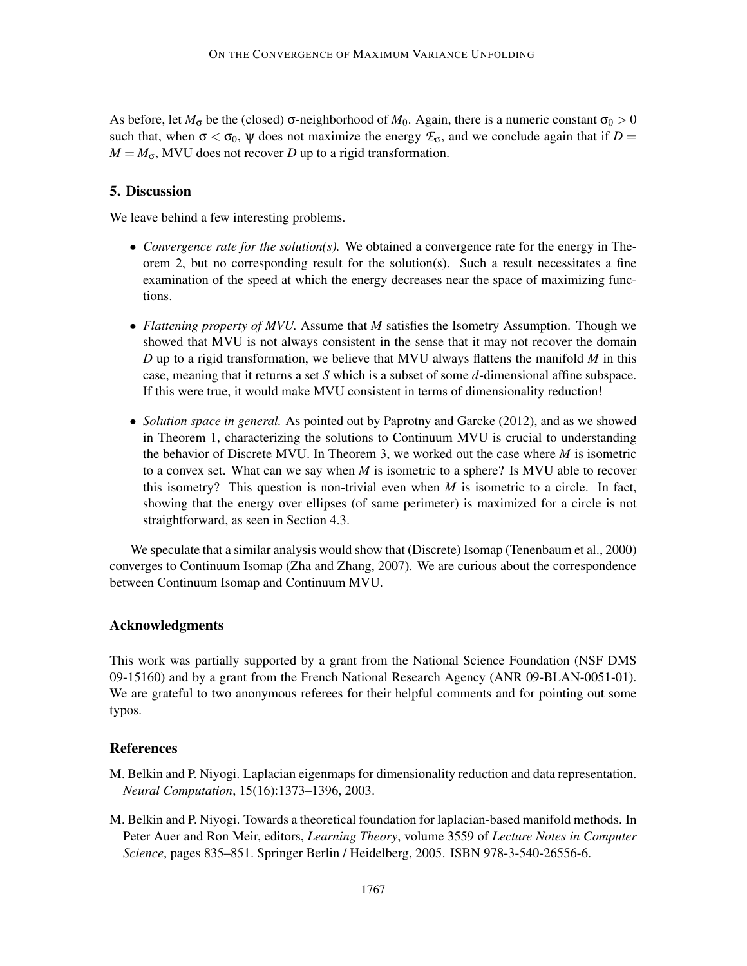As before, let  $M_{\sigma}$  be the (closed)  $\sigma$ -neighborhood of  $M_0$ . Again, there is a numeric constant  $\sigma_0 > 0$ such that, when  $\sigma < \sigma_0$ ,  $\psi$  does not maximize the energy  $\mathcal{F}_{\sigma}$ , and we conclude again that if  $D =$  $M = M_{\sigma}$ , MVU does not recover *D* up to a rigid transformation.

# 5. Discussion

We leave behind a few interesting problems.

- *Convergence rate for the solution(s)*. We obtained a convergence rate for the energy in Theorem 2, but no corresponding result for the solution(s). Such a result necessitates a fine examination of the speed at which the energy decreases near the space of maximizing functions.
- *Flattening property of MVU.* Assume that *M* satisfies the Isometry Assumption. Though we showed that MVU is not always consistent in the sense that it may not recover the domain *D* up to a rigid transformation, we believe that MVU always flattens the manifold *M* in this case, meaning that it returns a set *S* which is a subset of some *d*-dimensional affine subspace. If this were true, it would make MVU consistent in terms of dimensionality reduction!
- *Solution space in general.* As pointed out by Paprotny and Garcke (2012), and as we showed in Theorem 1, characterizing the solutions to Continuum MVU is crucial to understanding the behavior of Discrete MVU. In Theorem 3, we worked out the case where *M* is isometric to a convex set. What can we say when *M* is isometric to a sphere? Is MVU able to recover this isometry? This question is non-trivial even when  $M$  is isometric to a circle. In fact, showing that the energy over ellipses (of same perimeter) is maximized for a circle is not straightforward, as seen in Section 4.3.

We speculate that a similar analysis would show that (Discrete) Isomap (Tenenbaum et al., 2000) converges to Continuum Isomap (Zha and Zhang, 2007). We are curious about the correspondence between Continuum Isomap and Continuum MVU.

# Acknowledgments

This work was partially supported by a grant from the National Science Foundation (NSF DMS 09-15160) and by a grant from the French National Research Agency (ANR 09-BLAN-0051-01). We are grateful to two anonymous referees for their helpful comments and for pointing out some typos.

## **References**

- M. Belkin and P. Niyogi. Laplacian eigenmaps for dimensionality reduction and data representation. *Neural Computation*, 15(16):1373–1396, 2003.
- M. Belkin and P. Niyogi. Towards a theoretical foundation for laplacian-based manifold methods. In Peter Auer and Ron Meir, editors, *Learning Theory*, volume 3559 of *Lecture Notes in Computer Science*, pages 835–851. Springer Berlin / Heidelberg, 2005. ISBN 978-3-540-26556-6.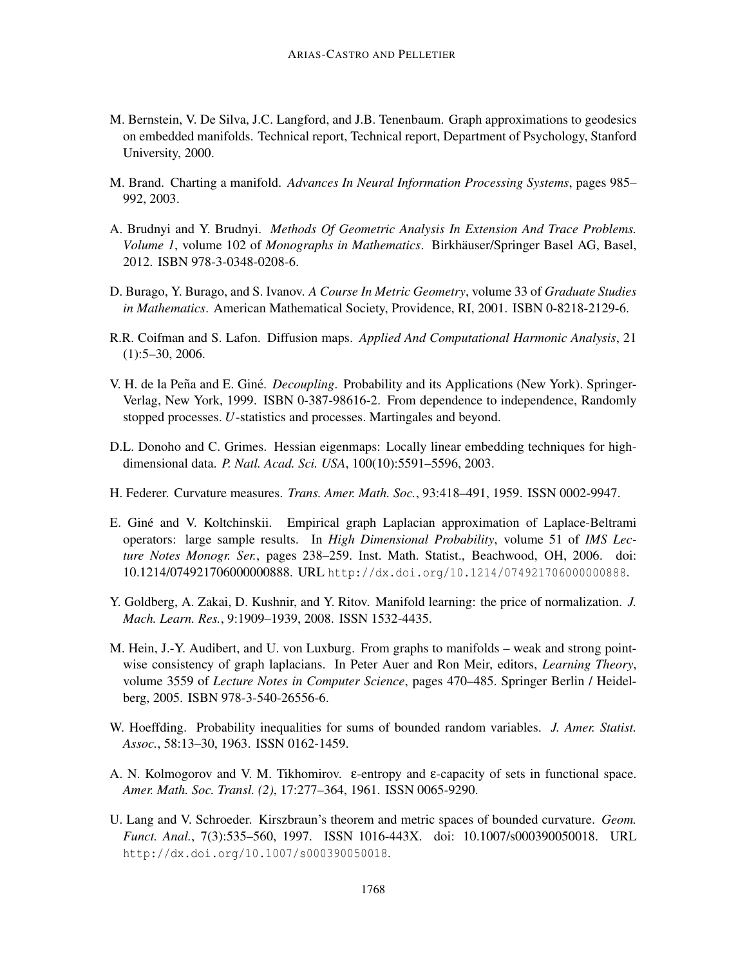- M. Bernstein, V. De Silva, J.C. Langford, and J.B. Tenenbaum. Graph approximations to geodesics on embedded manifolds. Technical report, Technical report, Department of Psychology, Stanford University, 2000.
- M. Brand. Charting a manifold. *Advances In Neural Information Processing Systems*, pages 985– 992, 2003.
- A. Brudnyi and Y. Brudnyi. *Methods Of Geometric Analysis In Extension And Trace Problems. Volume 1*, volume 102 of *Monographs in Mathematics*. Birkhäuser/Springer Basel AG, Basel, 2012. ISBN 978-3-0348-0208-6.
- D. Burago, Y. Burago, and S. Ivanov. *A Course In Metric Geometry*, volume 33 of *Graduate Studies in Mathematics*. American Mathematical Society, Providence, RI, 2001. ISBN 0-8218-2129-6.
- R.R. Coifman and S. Lafon. Diffusion maps. *Applied And Computational Harmonic Analysis*, 21 (1):5–30, 2006.
- V. H. de la Peña and E. Giné. *Decoupling*. Probability and its Applications (New York). Springer-Verlag, New York, 1999. ISBN 0-387-98616-2. From dependence to independence, Randomly stopped processes. *U*-statistics and processes. Martingales and beyond.
- D.L. Donoho and C. Grimes. Hessian eigenmaps: Locally linear embedding techniques for highdimensional data. *P. Natl. Acad. Sci. USA*, 100(10):5591–5596, 2003.
- H. Federer. Curvature measures. *Trans. Amer. Math. Soc.*, 93:418–491, 1959. ISSN 0002-9947.
- E. Giné and V. Koltchinskii. Empirical graph Laplacian approximation of Laplace-Beltrami operators: large sample results. In *High Dimensional Probability*, volume 51 of *IMS Lecture Notes Monogr. Ser.*, pages 238–259. Inst. Math. Statist., Beachwood, OH, 2006. doi: 10.1214/074921706000000888. URL http://dx.doi.org/10.1214/074921706000000888.
- Y. Goldberg, A. Zakai, D. Kushnir, and Y. Ritov. Manifold learning: the price of normalization. *J. Mach. Learn. Res.*, 9:1909–1939, 2008. ISSN 1532-4435.
- M. Hein, J.-Y. Audibert, and U. von Luxburg. From graphs to manifolds weak and strong pointwise consistency of graph laplacians. In Peter Auer and Ron Meir, editors, *Learning Theory*, volume 3559 of *Lecture Notes in Computer Science*, pages 470–485. Springer Berlin / Heidelberg, 2005. ISBN 978-3-540-26556-6.
- W. Hoeffding. Probability inequalities for sums of bounded random variables. *J. Amer. Statist. Assoc.*, 58:13–30, 1963. ISSN 0162-1459.
- A. N. Kolmogorov and V. M. Tikhomirov. ε-entropy and ε-capacity of sets in functional space. *Amer. Math. Soc. Transl. (2)*, 17:277–364, 1961. ISSN 0065-9290.
- U. Lang and V. Schroeder. Kirszbraun's theorem and metric spaces of bounded curvature. *Geom. Funct. Anal.*, 7(3):535–560, 1997. ISSN 1016-443X. doi: 10.1007/s000390050018. URL http://dx.doi.org/10.1007/s000390050018.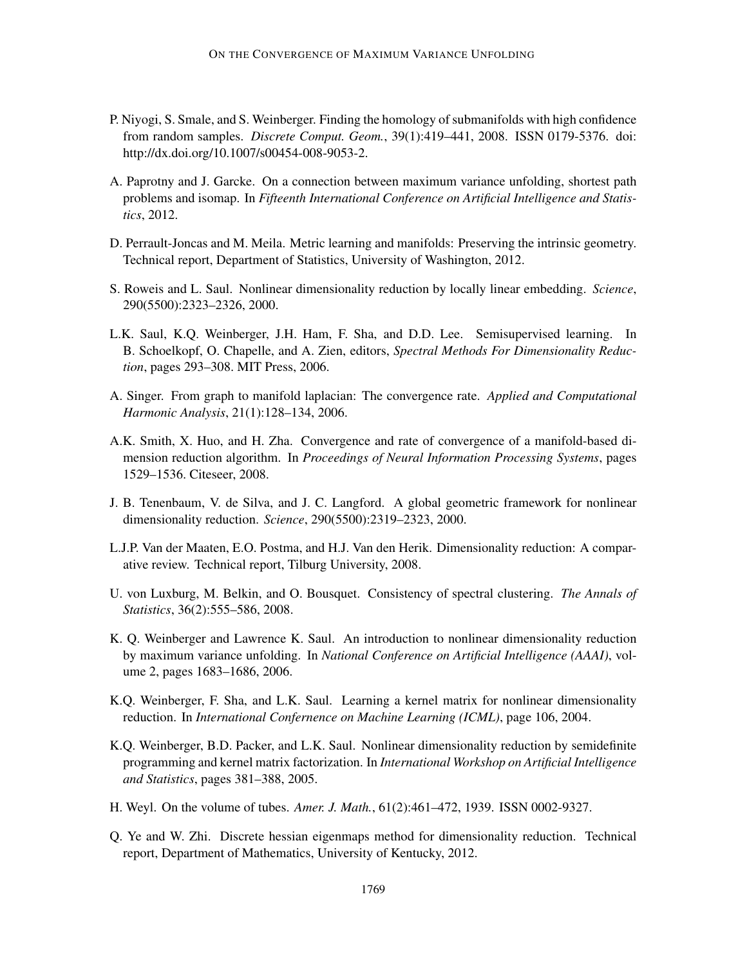- P. Niyogi, S. Smale, and S. Weinberger. Finding the homology of submanifolds with high confidence from random samples. *Discrete Comput. Geom.*, 39(1):419–441, 2008. ISSN 0179-5376. doi: http://dx.doi.org/10.1007/s00454-008-9053-2.
- A. Paprotny and J. Garcke. On a connection between maximum variance unfolding, shortest path problems and isomap. In *Fifteenth International Conference on Artificial Intelligence and Statistics*, 2012.
- D. Perrault-Joncas and M. Meila. Metric learning and manifolds: Preserving the intrinsic geometry. Technical report, Department of Statistics, University of Washington, 2012.
- S. Roweis and L. Saul. Nonlinear dimensionality reduction by locally linear embedding. *Science*, 290(5500):2323–2326, 2000.
- L.K. Saul, K.Q. Weinberger, J.H. Ham, F. Sha, and D.D. Lee. Semisupervised learning. In B. Schoelkopf, O. Chapelle, and A. Zien, editors, *Spectral Methods For Dimensionality Reduction*, pages 293–308. MIT Press, 2006.
- A. Singer. From graph to manifold laplacian: The convergence rate. *Applied and Computational Harmonic Analysis*, 21(1):128–134, 2006.
- A.K. Smith, X. Huo, and H. Zha. Convergence and rate of convergence of a manifold-based dimension reduction algorithm. In *Proceedings of Neural Information Processing Systems*, pages 1529–1536. Citeseer, 2008.
- J. B. Tenenbaum, V. de Silva, and J. C. Langford. A global geometric framework for nonlinear dimensionality reduction. *Science*, 290(5500):2319–2323, 2000.
- L.J.P. Van der Maaten, E.O. Postma, and H.J. Van den Herik. Dimensionality reduction: A comparative review. Technical report, Tilburg University, 2008.
- U. von Luxburg, M. Belkin, and O. Bousquet. Consistency of spectral clustering. *The Annals of Statistics*, 36(2):555–586, 2008.
- K. Q. Weinberger and Lawrence K. Saul. An introduction to nonlinear dimensionality reduction by maximum variance unfolding. In *National Conference on Artificial Intelligence (AAAI)*, volume 2, pages 1683–1686, 2006.
- K.Q. Weinberger, F. Sha, and L.K. Saul. Learning a kernel matrix for nonlinear dimensionality reduction. In *International Confernence on Machine Learning (ICML)*, page 106, 2004.
- K.Q. Weinberger, B.D. Packer, and L.K. Saul. Nonlinear dimensionality reduction by semidefinite programming and kernel matrix factorization. In *International Workshop on Artificial Intelligence and Statistics*, pages 381–388, 2005.
- H. Weyl. On the volume of tubes. *Amer. J. Math.*, 61(2):461–472, 1939. ISSN 0002-9327.
- Q. Ye and W. Zhi. Discrete hessian eigenmaps method for dimensionality reduction. Technical report, Department of Mathematics, University of Kentucky, 2012.